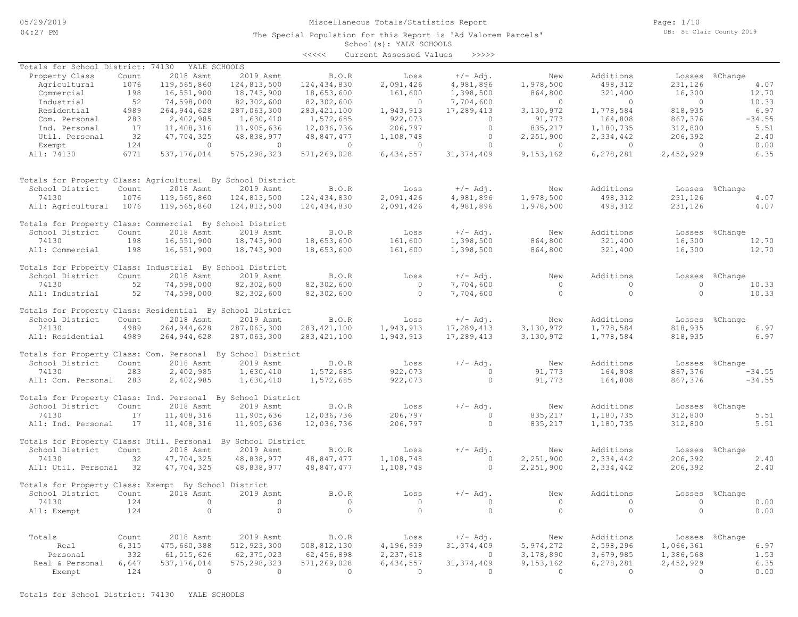### Miscellaneous Totals/Statistics Report

The Special Population for this Report is 'Ad Valorem Parcels'

Page: 1/10 DB: St Clair County 2019

### School(s): YALE SCHOOLS <<<<< Current Assessed Values >>>>>

| Totals for School District: 74130<br>YALE SCHOOLS<br>$+/-$ Adj.<br>Additions<br>Property Class<br>Count<br>2018 Asmt<br>2019 Asmt<br>B.O.R<br>Loss<br>New<br>Losses %Change<br>1076<br>124,813,500<br>124, 434, 830<br>2,091,426<br>4,981,896<br>1,978,500<br>498,312<br>231,126<br>Agricultural<br>119,565,860<br>4.07<br>198<br>16,551,900<br>18,743,900<br>18,653,600<br>161,600<br>1,398,500<br>864,800<br>321,400<br>16,300<br>12.70<br>Commercial<br>52<br>74,598,000<br>82,302,600<br>82,302,600<br>7,704,600<br>10.33<br>Industrial<br>$\sim$ 0<br>$\overline{0}$<br>$\overline{0}$<br>$\overline{0}$<br>264, 944, 628<br>287,063,300<br>283, 421, 100<br>17,289,413<br>818,935<br>6.97<br>Residential<br>4989<br>1,943,913<br>3,130,972<br>1,778,584<br>283<br>2,402,985<br>1,630,410<br>1,572,685<br>922,073<br>164,808<br>867,376<br>$-34.55$<br>Com. Personal<br>$\Omega$<br>91,773<br>11,408,316<br>11,905,636<br>12,036,736<br>206,797<br>$\bigcirc$<br>1,180,735<br>312,800<br>5.51<br>Ind. Personal<br>17<br>835, 217<br>32<br>206,392<br>2.40<br>Util. Personal<br>47,704,325<br>48,838,977<br>48,847,477<br>1,108,748<br>$\circ$<br>2,251,900<br>2,334,442<br>124<br>0.00<br>Exempt<br>$\bigcap$<br>$\bigcirc$<br>$\circ$<br>$\Omega$<br>$\circ$<br>$\Omega$<br>$\Omega$<br>$\Omega$<br>All: 74130<br>6771<br>575, 298, 323<br>571,269,028<br>6,434,557<br>31, 374, 409<br>9,153,162<br>6,278,281<br>2,452,929<br>6.35<br>537, 176, 014<br>Totals for Property Class: Agricultural By School District<br>Additions<br>School District<br>Count<br>2018 Asmt<br>2019 Asmt<br>B.O.R<br>Loss<br>$+/-$ Adj.<br>New<br>Losses %Change<br>498,312<br>74130<br>1076<br>119,565,860<br>124,813,500<br>124,434,830<br>2,091,426<br>4,981,896<br>1,978,500<br>231,126<br>4.07<br>1076<br>119,565,860<br>124,813,500<br>124,434,830<br>2,091,426<br>4,981,896<br>1,978,500<br>498,312<br>231,126<br>4.07<br>All: Agricultural<br>Totals for Property Class: Commercial By School District<br>$+/-$ Adj.<br>Additions<br>School District<br>Count<br>2018 Asmt<br>2019 Asmt<br>B.O.R<br>Loss<br>New<br>Losses %Change<br>74130<br>16,551,900<br>18,743,900<br>18,653,600<br>161,600<br>1,398,500<br>864,800<br>321,400<br>16,300<br>198<br>12.70<br>198<br>16,551,900<br>1,398,500<br>321,400<br>16,300<br>12.70<br>All: Commercial<br>18,743,900<br>18,653,600<br>161,600<br>864,800<br>Totals for Property Class: Industrial By School District<br>$+/-$ Adj.<br>School District<br>Count<br>2018 Asmt<br>2019 Asmt<br>B.O.R<br>Loss<br>Additions<br>Losses %Change<br>New<br>52<br>74,598,000<br>82,302,600<br>82,302,600<br>$\circ$<br>7,704,600<br>$\Omega$<br>$\Omega$<br>$\Omega$<br>74130<br>10.33<br>52<br>74,598,000<br>82,302,600<br>82,302,600<br>$\circ$<br>7,704,600<br>$\Omega$<br>$\circ$<br>$\circ$<br>10.33<br>All: Industrial<br>Totals for Property Class: Residential By School District<br>2019 Asmt<br>$+/-$ Adj.<br>Additions<br>School District<br>Count<br>2018 Asmt<br>B.O.R<br>Loss<br>New<br>Losses<br>%Change<br>74130<br>4989<br>264, 944, 628<br>287,063,300<br>283, 421, 100<br>1,943,913<br>17,289,413<br>3,130,972<br>1,778,584<br>818,935<br>6.97<br>All: Residential<br>4989<br>264, 944, 628<br>287,063,300<br>283, 421, 100<br>1,943,913<br>17,289,413<br>3,130,972<br>1,778,584<br>818,935<br>6.97<br>Totals for Property Class: Com. Personal By School District<br>School District<br>2018 Asmt<br>2019 Asmt<br>B.O.R<br>Loss<br>$+/-$ Adj.<br>Additions<br>Count<br>New<br>Losses %Change<br>922,073<br>74130<br>283<br>2,402,985<br>1,630,410<br>1,572,685<br>91,773<br>164,808<br>867,376<br>$-34.55$<br>$\cap$<br>283<br>2,402,985<br>1,630,410<br>1,572,685<br>922,073<br>$\circ$<br>91,773<br>164,808<br>867,376<br>$-34.55$<br>All: Com. Personal<br>Totals for Property Class: Ind. Personal By School District<br><b>B.O.R</b><br>Additions<br>School District<br>Count<br>2018 Asmt<br>2019 Asmt<br>Loss<br>$+/-$ Adj.<br>New<br>Losses<br>%Change<br>11,408,316<br>11,905,636<br>12,036,736<br>206,797<br>835,217<br>1,180,735<br>312,800<br>5.51<br>74130<br>17<br>$\circ$<br>12,036,736<br>206,797<br>835,217<br>1,180,735<br>312,800<br>5.51<br>All: Ind. Personal<br>17<br>11,408,316<br>11,905,636<br>$\circ$<br>Totals for Property Class: Util. Personal By School District<br><b>B.O.R</b><br>$+/-$ Adj.<br>Additions<br>School District<br>Count<br>2018 Asmt<br>2019 Asmt<br>Loss<br>New<br>Losses %Change<br>32<br>47,704,325<br>48,838,977<br>48,847,477<br>1,108,748<br>2,251,900<br>2,334,442<br>206,392<br>2.40<br>74130<br>$\Omega$<br>All: Util. Personal 32<br>47,704,325<br>48,838,977<br>48,847,477<br>1,108,748<br>$\circ$<br>2,251,900<br>2,334,442<br>206,392<br>2.40<br>Totals for Property Class: Exempt By School District<br>2018 Asmt<br>2019 Asmt<br>$+/-$ Adj.<br>Additions<br>School District<br>Count<br>B.O.R<br>New<br>%Change<br>Loss<br>Losses<br>74130<br>124<br>$\circ$<br>$\circ$<br>$\circ$<br>$\circ$<br>$\Omega$<br>$\Omega$<br>$\circ$<br>0.00<br>$\Omega$<br>$\Omega$<br>$\Omega$<br>124<br>$\bigcap$<br>$\Omega$<br>$\Omega$<br>$\Omega$<br>$\Omega$<br>$\Omega$<br>0.00<br>All: Exempt<br>2018 Asmt<br>2019 Asmt<br>B.O.R<br>$+/-$ Adj.<br>Additions<br>Totals<br>Count<br>Loss<br>Losses %Change<br>New<br>6,315<br>475,660,388<br>512, 923, 300<br>508,812,130<br>4,196,939<br>31, 374, 409<br>5,974,272<br>2,598,296<br>1,066,361<br>6.97<br>Real<br>332<br>61, 515, 626<br>62, 375, 023<br>62,456,898<br>2,237,618<br>3,178,890<br>3,679,985<br>1,386,568<br>1.53<br>Personal<br>$\circ$<br>6.35<br>Real & Personal<br>6,647<br>537, 176, 014<br>575, 298, 323<br>571,269,028<br>6,434,557<br>9,153,162<br>6,278,281<br>2,452,929<br>31, 374, 409<br>124<br>$\bigcirc$<br>$\overline{0}$<br>$\Omega$<br>$\Omega$<br>$\Omega$<br>$\Omega$<br>$\Omega$<br>0.00<br>Exempt<br>$\Omega$ |  |  | くくくくく | Current Assessed values | ,,,,, |  |  |
|-------------------------------------------------------------------------------------------------------------------------------------------------------------------------------------------------------------------------------------------------------------------------------------------------------------------------------------------------------------------------------------------------------------------------------------------------------------------------------------------------------------------------------------------------------------------------------------------------------------------------------------------------------------------------------------------------------------------------------------------------------------------------------------------------------------------------------------------------------------------------------------------------------------------------------------------------------------------------------------------------------------------------------------------------------------------------------------------------------------------------------------------------------------------------------------------------------------------------------------------------------------------------------------------------------------------------------------------------------------------------------------------------------------------------------------------------------------------------------------------------------------------------------------------------------------------------------------------------------------------------------------------------------------------------------------------------------------------------------------------------------------------------------------------------------------------------------------------------------------------------------------------------------------------------------------------------------------------------------------------------------------------------------------------------------------------------------------------------------------------------------------------------------------------------------------------------------------------------------------------------------------------------------------------------------------------------------------------------------------------------------------------------------------------------------------------------------------------------------------------------------------------------------------------------------------------------------------------------------------------------------------------------------------------------------------------------------------------------------------------------------------------------------------------------------------------------------------------------------------------------------------------------------------------------------------------------------------------------------------------------------------------------------------------------------------------------------------------------------------------------------------------------------------------------------------------------------------------------------------------------------------------------------------------------------------------------------------------------------------------------------------------------------------------------------------------------------------------------------------------------------------------------------------------------------------------------------------------------------------------------------------------------------------------------------------------------------------------------------------------------------------------------------------------------------------------------------------------------------------------------------------------------------------------------------------------------------------------------------------------------------------------------------------------------------------------------------------------------------------------------------------------------------------------------------------------------------------------------------------------------------------------------------------------------------------------------------------------------------------------------------------------------------------------------------------------------------------------------------------------------------------------------------------------------------------------------------------------------------------------------------------------------------------------------------------------------------------------------------------------------------------------------------------------------------------------------------------------------------------------------------------------------------------------------------------------------------------------------------------------------------------------------------------------------------------------------------------------------------------------------------------------------------------------------------------------------------------------------------------------------------------------------------------------------------------------------------------------------------------------------------------------------------------------------------------------------------------------------------------------------------------------------------------------------------------------------------------------------------------------------------------------------------------------------------------------------------------------------------------------------------------------------------------------------------------------------------------------------------------------------------------------------|--|--|-------|-------------------------|-------|--|--|
|                                                                                                                                                                                                                                                                                                                                                                                                                                                                                                                                                                                                                                                                                                                                                                                                                                                                                                                                                                                                                                                                                                                                                                                                                                                                                                                                                                                                                                                                                                                                                                                                                                                                                                                                                                                                                                                                                                                                                                                                                                                                                                                                                                                                                                                                                                                                                                                                                                                                                                                                                                                                                                                                                                                                                                                                                                                                                                                                                                                                                                                                                                                                                                                                                                                                                                                                                                                                                                                                                                                                                                                                                                                                                                                                                                                                                                                                                                                                                                                                                                                                                                                                                                                                                                                                                                                                                                                                                                                                                                                                                                                                                                                                                                                                                                                                                                                                                                                                                                                                                                                                                                                                                                                                                                                                                                                                                                                                                                                                                                                                                                                                                                                                                                                                                                                                                                                                                                 |  |  |       |                         |       |  |  |
|                                                                                                                                                                                                                                                                                                                                                                                                                                                                                                                                                                                                                                                                                                                                                                                                                                                                                                                                                                                                                                                                                                                                                                                                                                                                                                                                                                                                                                                                                                                                                                                                                                                                                                                                                                                                                                                                                                                                                                                                                                                                                                                                                                                                                                                                                                                                                                                                                                                                                                                                                                                                                                                                                                                                                                                                                                                                                                                                                                                                                                                                                                                                                                                                                                                                                                                                                                                                                                                                                                                                                                                                                                                                                                                                                                                                                                                                                                                                                                                                                                                                                                                                                                                                                                                                                                                                                                                                                                                                                                                                                                                                                                                                                                                                                                                                                                                                                                                                                                                                                                                                                                                                                                                                                                                                                                                                                                                                                                                                                                                                                                                                                                                                                                                                                                                                                                                                                                 |  |  |       |                         |       |  |  |
|                                                                                                                                                                                                                                                                                                                                                                                                                                                                                                                                                                                                                                                                                                                                                                                                                                                                                                                                                                                                                                                                                                                                                                                                                                                                                                                                                                                                                                                                                                                                                                                                                                                                                                                                                                                                                                                                                                                                                                                                                                                                                                                                                                                                                                                                                                                                                                                                                                                                                                                                                                                                                                                                                                                                                                                                                                                                                                                                                                                                                                                                                                                                                                                                                                                                                                                                                                                                                                                                                                                                                                                                                                                                                                                                                                                                                                                                                                                                                                                                                                                                                                                                                                                                                                                                                                                                                                                                                                                                                                                                                                                                                                                                                                                                                                                                                                                                                                                                                                                                                                                                                                                                                                                                                                                                                                                                                                                                                                                                                                                                                                                                                                                                                                                                                                                                                                                                                                 |  |  |       |                         |       |  |  |
|                                                                                                                                                                                                                                                                                                                                                                                                                                                                                                                                                                                                                                                                                                                                                                                                                                                                                                                                                                                                                                                                                                                                                                                                                                                                                                                                                                                                                                                                                                                                                                                                                                                                                                                                                                                                                                                                                                                                                                                                                                                                                                                                                                                                                                                                                                                                                                                                                                                                                                                                                                                                                                                                                                                                                                                                                                                                                                                                                                                                                                                                                                                                                                                                                                                                                                                                                                                                                                                                                                                                                                                                                                                                                                                                                                                                                                                                                                                                                                                                                                                                                                                                                                                                                                                                                                                                                                                                                                                                                                                                                                                                                                                                                                                                                                                                                                                                                                                                                                                                                                                                                                                                                                                                                                                                                                                                                                                                                                                                                                                                                                                                                                                                                                                                                                                                                                                                                                 |  |  |       |                         |       |  |  |
|                                                                                                                                                                                                                                                                                                                                                                                                                                                                                                                                                                                                                                                                                                                                                                                                                                                                                                                                                                                                                                                                                                                                                                                                                                                                                                                                                                                                                                                                                                                                                                                                                                                                                                                                                                                                                                                                                                                                                                                                                                                                                                                                                                                                                                                                                                                                                                                                                                                                                                                                                                                                                                                                                                                                                                                                                                                                                                                                                                                                                                                                                                                                                                                                                                                                                                                                                                                                                                                                                                                                                                                                                                                                                                                                                                                                                                                                                                                                                                                                                                                                                                                                                                                                                                                                                                                                                                                                                                                                                                                                                                                                                                                                                                                                                                                                                                                                                                                                                                                                                                                                                                                                                                                                                                                                                                                                                                                                                                                                                                                                                                                                                                                                                                                                                                                                                                                                                                 |  |  |       |                         |       |  |  |
|                                                                                                                                                                                                                                                                                                                                                                                                                                                                                                                                                                                                                                                                                                                                                                                                                                                                                                                                                                                                                                                                                                                                                                                                                                                                                                                                                                                                                                                                                                                                                                                                                                                                                                                                                                                                                                                                                                                                                                                                                                                                                                                                                                                                                                                                                                                                                                                                                                                                                                                                                                                                                                                                                                                                                                                                                                                                                                                                                                                                                                                                                                                                                                                                                                                                                                                                                                                                                                                                                                                                                                                                                                                                                                                                                                                                                                                                                                                                                                                                                                                                                                                                                                                                                                                                                                                                                                                                                                                                                                                                                                                                                                                                                                                                                                                                                                                                                                                                                                                                                                                                                                                                                                                                                                                                                                                                                                                                                                                                                                                                                                                                                                                                                                                                                                                                                                                                                                 |  |  |       |                         |       |  |  |
|                                                                                                                                                                                                                                                                                                                                                                                                                                                                                                                                                                                                                                                                                                                                                                                                                                                                                                                                                                                                                                                                                                                                                                                                                                                                                                                                                                                                                                                                                                                                                                                                                                                                                                                                                                                                                                                                                                                                                                                                                                                                                                                                                                                                                                                                                                                                                                                                                                                                                                                                                                                                                                                                                                                                                                                                                                                                                                                                                                                                                                                                                                                                                                                                                                                                                                                                                                                                                                                                                                                                                                                                                                                                                                                                                                                                                                                                                                                                                                                                                                                                                                                                                                                                                                                                                                                                                                                                                                                                                                                                                                                                                                                                                                                                                                                                                                                                                                                                                                                                                                                                                                                                                                                                                                                                                                                                                                                                                                                                                                                                                                                                                                                                                                                                                                                                                                                                                                 |  |  |       |                         |       |  |  |
|                                                                                                                                                                                                                                                                                                                                                                                                                                                                                                                                                                                                                                                                                                                                                                                                                                                                                                                                                                                                                                                                                                                                                                                                                                                                                                                                                                                                                                                                                                                                                                                                                                                                                                                                                                                                                                                                                                                                                                                                                                                                                                                                                                                                                                                                                                                                                                                                                                                                                                                                                                                                                                                                                                                                                                                                                                                                                                                                                                                                                                                                                                                                                                                                                                                                                                                                                                                                                                                                                                                                                                                                                                                                                                                                                                                                                                                                                                                                                                                                                                                                                                                                                                                                                                                                                                                                                                                                                                                                                                                                                                                                                                                                                                                                                                                                                                                                                                                                                                                                                                                                                                                                                                                                                                                                                                                                                                                                                                                                                                                                                                                                                                                                                                                                                                                                                                                                                                 |  |  |       |                         |       |  |  |
|                                                                                                                                                                                                                                                                                                                                                                                                                                                                                                                                                                                                                                                                                                                                                                                                                                                                                                                                                                                                                                                                                                                                                                                                                                                                                                                                                                                                                                                                                                                                                                                                                                                                                                                                                                                                                                                                                                                                                                                                                                                                                                                                                                                                                                                                                                                                                                                                                                                                                                                                                                                                                                                                                                                                                                                                                                                                                                                                                                                                                                                                                                                                                                                                                                                                                                                                                                                                                                                                                                                                                                                                                                                                                                                                                                                                                                                                                                                                                                                                                                                                                                                                                                                                                                                                                                                                                                                                                                                                                                                                                                                                                                                                                                                                                                                                                                                                                                                                                                                                                                                                                                                                                                                                                                                                                                                                                                                                                                                                                                                                                                                                                                                                                                                                                                                                                                                                                                 |  |  |       |                         |       |  |  |
|                                                                                                                                                                                                                                                                                                                                                                                                                                                                                                                                                                                                                                                                                                                                                                                                                                                                                                                                                                                                                                                                                                                                                                                                                                                                                                                                                                                                                                                                                                                                                                                                                                                                                                                                                                                                                                                                                                                                                                                                                                                                                                                                                                                                                                                                                                                                                                                                                                                                                                                                                                                                                                                                                                                                                                                                                                                                                                                                                                                                                                                                                                                                                                                                                                                                                                                                                                                                                                                                                                                                                                                                                                                                                                                                                                                                                                                                                                                                                                                                                                                                                                                                                                                                                                                                                                                                                                                                                                                                                                                                                                                                                                                                                                                                                                                                                                                                                                                                                                                                                                                                                                                                                                                                                                                                                                                                                                                                                                                                                                                                                                                                                                                                                                                                                                                                                                                                                                 |  |  |       |                         |       |  |  |
|                                                                                                                                                                                                                                                                                                                                                                                                                                                                                                                                                                                                                                                                                                                                                                                                                                                                                                                                                                                                                                                                                                                                                                                                                                                                                                                                                                                                                                                                                                                                                                                                                                                                                                                                                                                                                                                                                                                                                                                                                                                                                                                                                                                                                                                                                                                                                                                                                                                                                                                                                                                                                                                                                                                                                                                                                                                                                                                                                                                                                                                                                                                                                                                                                                                                                                                                                                                                                                                                                                                                                                                                                                                                                                                                                                                                                                                                                                                                                                                                                                                                                                                                                                                                                                                                                                                                                                                                                                                                                                                                                                                                                                                                                                                                                                                                                                                                                                                                                                                                                                                                                                                                                                                                                                                                                                                                                                                                                                                                                                                                                                                                                                                                                                                                                                                                                                                                                                 |  |  |       |                         |       |  |  |
|                                                                                                                                                                                                                                                                                                                                                                                                                                                                                                                                                                                                                                                                                                                                                                                                                                                                                                                                                                                                                                                                                                                                                                                                                                                                                                                                                                                                                                                                                                                                                                                                                                                                                                                                                                                                                                                                                                                                                                                                                                                                                                                                                                                                                                                                                                                                                                                                                                                                                                                                                                                                                                                                                                                                                                                                                                                                                                                                                                                                                                                                                                                                                                                                                                                                                                                                                                                                                                                                                                                                                                                                                                                                                                                                                                                                                                                                                                                                                                                                                                                                                                                                                                                                                                                                                                                                                                                                                                                                                                                                                                                                                                                                                                                                                                                                                                                                                                                                                                                                                                                                                                                                                                                                                                                                                                                                                                                                                                                                                                                                                                                                                                                                                                                                                                                                                                                                                                 |  |  |       |                         |       |  |  |
|                                                                                                                                                                                                                                                                                                                                                                                                                                                                                                                                                                                                                                                                                                                                                                                                                                                                                                                                                                                                                                                                                                                                                                                                                                                                                                                                                                                                                                                                                                                                                                                                                                                                                                                                                                                                                                                                                                                                                                                                                                                                                                                                                                                                                                                                                                                                                                                                                                                                                                                                                                                                                                                                                                                                                                                                                                                                                                                                                                                                                                                                                                                                                                                                                                                                                                                                                                                                                                                                                                                                                                                                                                                                                                                                                                                                                                                                                                                                                                                                                                                                                                                                                                                                                                                                                                                                                                                                                                                                                                                                                                                                                                                                                                                                                                                                                                                                                                                                                                                                                                                                                                                                                                                                                                                                                                                                                                                                                                                                                                                                                                                                                                                                                                                                                                                                                                                                                                 |  |  |       |                         |       |  |  |
|                                                                                                                                                                                                                                                                                                                                                                                                                                                                                                                                                                                                                                                                                                                                                                                                                                                                                                                                                                                                                                                                                                                                                                                                                                                                                                                                                                                                                                                                                                                                                                                                                                                                                                                                                                                                                                                                                                                                                                                                                                                                                                                                                                                                                                                                                                                                                                                                                                                                                                                                                                                                                                                                                                                                                                                                                                                                                                                                                                                                                                                                                                                                                                                                                                                                                                                                                                                                                                                                                                                                                                                                                                                                                                                                                                                                                                                                                                                                                                                                                                                                                                                                                                                                                                                                                                                                                                                                                                                                                                                                                                                                                                                                                                                                                                                                                                                                                                                                                                                                                                                                                                                                                                                                                                                                                                                                                                                                                                                                                                                                                                                                                                                                                                                                                                                                                                                                                                 |  |  |       |                         |       |  |  |
|                                                                                                                                                                                                                                                                                                                                                                                                                                                                                                                                                                                                                                                                                                                                                                                                                                                                                                                                                                                                                                                                                                                                                                                                                                                                                                                                                                                                                                                                                                                                                                                                                                                                                                                                                                                                                                                                                                                                                                                                                                                                                                                                                                                                                                                                                                                                                                                                                                                                                                                                                                                                                                                                                                                                                                                                                                                                                                                                                                                                                                                                                                                                                                                                                                                                                                                                                                                                                                                                                                                                                                                                                                                                                                                                                                                                                                                                                                                                                                                                                                                                                                                                                                                                                                                                                                                                                                                                                                                                                                                                                                                                                                                                                                                                                                                                                                                                                                                                                                                                                                                                                                                                                                                                                                                                                                                                                                                                                                                                                                                                                                                                                                                                                                                                                                                                                                                                                                 |  |  |       |                         |       |  |  |
|                                                                                                                                                                                                                                                                                                                                                                                                                                                                                                                                                                                                                                                                                                                                                                                                                                                                                                                                                                                                                                                                                                                                                                                                                                                                                                                                                                                                                                                                                                                                                                                                                                                                                                                                                                                                                                                                                                                                                                                                                                                                                                                                                                                                                                                                                                                                                                                                                                                                                                                                                                                                                                                                                                                                                                                                                                                                                                                                                                                                                                                                                                                                                                                                                                                                                                                                                                                                                                                                                                                                                                                                                                                                                                                                                                                                                                                                                                                                                                                                                                                                                                                                                                                                                                                                                                                                                                                                                                                                                                                                                                                                                                                                                                                                                                                                                                                                                                                                                                                                                                                                                                                                                                                                                                                                                                                                                                                                                                                                                                                                                                                                                                                                                                                                                                                                                                                                                                 |  |  |       |                         |       |  |  |
|                                                                                                                                                                                                                                                                                                                                                                                                                                                                                                                                                                                                                                                                                                                                                                                                                                                                                                                                                                                                                                                                                                                                                                                                                                                                                                                                                                                                                                                                                                                                                                                                                                                                                                                                                                                                                                                                                                                                                                                                                                                                                                                                                                                                                                                                                                                                                                                                                                                                                                                                                                                                                                                                                                                                                                                                                                                                                                                                                                                                                                                                                                                                                                                                                                                                                                                                                                                                                                                                                                                                                                                                                                                                                                                                                                                                                                                                                                                                                                                                                                                                                                                                                                                                                                                                                                                                                                                                                                                                                                                                                                                                                                                                                                                                                                                                                                                                                                                                                                                                                                                                                                                                                                                                                                                                                                                                                                                                                                                                                                                                                                                                                                                                                                                                                                                                                                                                                                 |  |  |       |                         |       |  |  |
|                                                                                                                                                                                                                                                                                                                                                                                                                                                                                                                                                                                                                                                                                                                                                                                                                                                                                                                                                                                                                                                                                                                                                                                                                                                                                                                                                                                                                                                                                                                                                                                                                                                                                                                                                                                                                                                                                                                                                                                                                                                                                                                                                                                                                                                                                                                                                                                                                                                                                                                                                                                                                                                                                                                                                                                                                                                                                                                                                                                                                                                                                                                                                                                                                                                                                                                                                                                                                                                                                                                                                                                                                                                                                                                                                                                                                                                                                                                                                                                                                                                                                                                                                                                                                                                                                                                                                                                                                                                                                                                                                                                                                                                                                                                                                                                                                                                                                                                                                                                                                                                                                                                                                                                                                                                                                                                                                                                                                                                                                                                                                                                                                                                                                                                                                                                                                                                                                                 |  |  |       |                         |       |  |  |
|                                                                                                                                                                                                                                                                                                                                                                                                                                                                                                                                                                                                                                                                                                                                                                                                                                                                                                                                                                                                                                                                                                                                                                                                                                                                                                                                                                                                                                                                                                                                                                                                                                                                                                                                                                                                                                                                                                                                                                                                                                                                                                                                                                                                                                                                                                                                                                                                                                                                                                                                                                                                                                                                                                                                                                                                                                                                                                                                                                                                                                                                                                                                                                                                                                                                                                                                                                                                                                                                                                                                                                                                                                                                                                                                                                                                                                                                                                                                                                                                                                                                                                                                                                                                                                                                                                                                                                                                                                                                                                                                                                                                                                                                                                                                                                                                                                                                                                                                                                                                                                                                                                                                                                                                                                                                                                                                                                                                                                                                                                                                                                                                                                                                                                                                                                                                                                                                                                 |  |  |       |                         |       |  |  |
|                                                                                                                                                                                                                                                                                                                                                                                                                                                                                                                                                                                                                                                                                                                                                                                                                                                                                                                                                                                                                                                                                                                                                                                                                                                                                                                                                                                                                                                                                                                                                                                                                                                                                                                                                                                                                                                                                                                                                                                                                                                                                                                                                                                                                                                                                                                                                                                                                                                                                                                                                                                                                                                                                                                                                                                                                                                                                                                                                                                                                                                                                                                                                                                                                                                                                                                                                                                                                                                                                                                                                                                                                                                                                                                                                                                                                                                                                                                                                                                                                                                                                                                                                                                                                                                                                                                                                                                                                                                                                                                                                                                                                                                                                                                                                                                                                                                                                                                                                                                                                                                                                                                                                                                                                                                                                                                                                                                                                                                                                                                                                                                                                                                                                                                                                                                                                                                                                                 |  |  |       |                         |       |  |  |
|                                                                                                                                                                                                                                                                                                                                                                                                                                                                                                                                                                                                                                                                                                                                                                                                                                                                                                                                                                                                                                                                                                                                                                                                                                                                                                                                                                                                                                                                                                                                                                                                                                                                                                                                                                                                                                                                                                                                                                                                                                                                                                                                                                                                                                                                                                                                                                                                                                                                                                                                                                                                                                                                                                                                                                                                                                                                                                                                                                                                                                                                                                                                                                                                                                                                                                                                                                                                                                                                                                                                                                                                                                                                                                                                                                                                                                                                                                                                                                                                                                                                                                                                                                                                                                                                                                                                                                                                                                                                                                                                                                                                                                                                                                                                                                                                                                                                                                                                                                                                                                                                                                                                                                                                                                                                                                                                                                                                                                                                                                                                                                                                                                                                                                                                                                                                                                                                                                 |  |  |       |                         |       |  |  |
|                                                                                                                                                                                                                                                                                                                                                                                                                                                                                                                                                                                                                                                                                                                                                                                                                                                                                                                                                                                                                                                                                                                                                                                                                                                                                                                                                                                                                                                                                                                                                                                                                                                                                                                                                                                                                                                                                                                                                                                                                                                                                                                                                                                                                                                                                                                                                                                                                                                                                                                                                                                                                                                                                                                                                                                                                                                                                                                                                                                                                                                                                                                                                                                                                                                                                                                                                                                                                                                                                                                                                                                                                                                                                                                                                                                                                                                                                                                                                                                                                                                                                                                                                                                                                                                                                                                                                                                                                                                                                                                                                                                                                                                                                                                                                                                                                                                                                                                                                                                                                                                                                                                                                                                                                                                                                                                                                                                                                                                                                                                                                                                                                                                                                                                                                                                                                                                                                                 |  |  |       |                         |       |  |  |
|                                                                                                                                                                                                                                                                                                                                                                                                                                                                                                                                                                                                                                                                                                                                                                                                                                                                                                                                                                                                                                                                                                                                                                                                                                                                                                                                                                                                                                                                                                                                                                                                                                                                                                                                                                                                                                                                                                                                                                                                                                                                                                                                                                                                                                                                                                                                                                                                                                                                                                                                                                                                                                                                                                                                                                                                                                                                                                                                                                                                                                                                                                                                                                                                                                                                                                                                                                                                                                                                                                                                                                                                                                                                                                                                                                                                                                                                                                                                                                                                                                                                                                                                                                                                                                                                                                                                                                                                                                                                                                                                                                                                                                                                                                                                                                                                                                                                                                                                                                                                                                                                                                                                                                                                                                                                                                                                                                                                                                                                                                                                                                                                                                                                                                                                                                                                                                                                                                 |  |  |       |                         |       |  |  |
|                                                                                                                                                                                                                                                                                                                                                                                                                                                                                                                                                                                                                                                                                                                                                                                                                                                                                                                                                                                                                                                                                                                                                                                                                                                                                                                                                                                                                                                                                                                                                                                                                                                                                                                                                                                                                                                                                                                                                                                                                                                                                                                                                                                                                                                                                                                                                                                                                                                                                                                                                                                                                                                                                                                                                                                                                                                                                                                                                                                                                                                                                                                                                                                                                                                                                                                                                                                                                                                                                                                                                                                                                                                                                                                                                                                                                                                                                                                                                                                                                                                                                                                                                                                                                                                                                                                                                                                                                                                                                                                                                                                                                                                                                                                                                                                                                                                                                                                                                                                                                                                                                                                                                                                                                                                                                                                                                                                                                                                                                                                                                                                                                                                                                                                                                                                                                                                                                                 |  |  |       |                         |       |  |  |
|                                                                                                                                                                                                                                                                                                                                                                                                                                                                                                                                                                                                                                                                                                                                                                                                                                                                                                                                                                                                                                                                                                                                                                                                                                                                                                                                                                                                                                                                                                                                                                                                                                                                                                                                                                                                                                                                                                                                                                                                                                                                                                                                                                                                                                                                                                                                                                                                                                                                                                                                                                                                                                                                                                                                                                                                                                                                                                                                                                                                                                                                                                                                                                                                                                                                                                                                                                                                                                                                                                                                                                                                                                                                                                                                                                                                                                                                                                                                                                                                                                                                                                                                                                                                                                                                                                                                                                                                                                                                                                                                                                                                                                                                                                                                                                                                                                                                                                                                                                                                                                                                                                                                                                                                                                                                                                                                                                                                                                                                                                                                                                                                                                                                                                                                                                                                                                                                                                 |  |  |       |                         |       |  |  |
|                                                                                                                                                                                                                                                                                                                                                                                                                                                                                                                                                                                                                                                                                                                                                                                                                                                                                                                                                                                                                                                                                                                                                                                                                                                                                                                                                                                                                                                                                                                                                                                                                                                                                                                                                                                                                                                                                                                                                                                                                                                                                                                                                                                                                                                                                                                                                                                                                                                                                                                                                                                                                                                                                                                                                                                                                                                                                                                                                                                                                                                                                                                                                                                                                                                                                                                                                                                                                                                                                                                                                                                                                                                                                                                                                                                                                                                                                                                                                                                                                                                                                                                                                                                                                                                                                                                                                                                                                                                                                                                                                                                                                                                                                                                                                                                                                                                                                                                                                                                                                                                                                                                                                                                                                                                                                                                                                                                                                                                                                                                                                                                                                                                                                                                                                                                                                                                                                                 |  |  |       |                         |       |  |  |
|                                                                                                                                                                                                                                                                                                                                                                                                                                                                                                                                                                                                                                                                                                                                                                                                                                                                                                                                                                                                                                                                                                                                                                                                                                                                                                                                                                                                                                                                                                                                                                                                                                                                                                                                                                                                                                                                                                                                                                                                                                                                                                                                                                                                                                                                                                                                                                                                                                                                                                                                                                                                                                                                                                                                                                                                                                                                                                                                                                                                                                                                                                                                                                                                                                                                                                                                                                                                                                                                                                                                                                                                                                                                                                                                                                                                                                                                                                                                                                                                                                                                                                                                                                                                                                                                                                                                                                                                                                                                                                                                                                                                                                                                                                                                                                                                                                                                                                                                                                                                                                                                                                                                                                                                                                                                                                                                                                                                                                                                                                                                                                                                                                                                                                                                                                                                                                                                                                 |  |  |       |                         |       |  |  |
|                                                                                                                                                                                                                                                                                                                                                                                                                                                                                                                                                                                                                                                                                                                                                                                                                                                                                                                                                                                                                                                                                                                                                                                                                                                                                                                                                                                                                                                                                                                                                                                                                                                                                                                                                                                                                                                                                                                                                                                                                                                                                                                                                                                                                                                                                                                                                                                                                                                                                                                                                                                                                                                                                                                                                                                                                                                                                                                                                                                                                                                                                                                                                                                                                                                                                                                                                                                                                                                                                                                                                                                                                                                                                                                                                                                                                                                                                                                                                                                                                                                                                                                                                                                                                                                                                                                                                                                                                                                                                                                                                                                                                                                                                                                                                                                                                                                                                                                                                                                                                                                                                                                                                                                                                                                                                                                                                                                                                                                                                                                                                                                                                                                                                                                                                                                                                                                                                                 |  |  |       |                         |       |  |  |
|                                                                                                                                                                                                                                                                                                                                                                                                                                                                                                                                                                                                                                                                                                                                                                                                                                                                                                                                                                                                                                                                                                                                                                                                                                                                                                                                                                                                                                                                                                                                                                                                                                                                                                                                                                                                                                                                                                                                                                                                                                                                                                                                                                                                                                                                                                                                                                                                                                                                                                                                                                                                                                                                                                                                                                                                                                                                                                                                                                                                                                                                                                                                                                                                                                                                                                                                                                                                                                                                                                                                                                                                                                                                                                                                                                                                                                                                                                                                                                                                                                                                                                                                                                                                                                                                                                                                                                                                                                                                                                                                                                                                                                                                                                                                                                                                                                                                                                                                                                                                                                                                                                                                                                                                                                                                                                                                                                                                                                                                                                                                                                                                                                                                                                                                                                                                                                                                                                 |  |  |       |                         |       |  |  |
|                                                                                                                                                                                                                                                                                                                                                                                                                                                                                                                                                                                                                                                                                                                                                                                                                                                                                                                                                                                                                                                                                                                                                                                                                                                                                                                                                                                                                                                                                                                                                                                                                                                                                                                                                                                                                                                                                                                                                                                                                                                                                                                                                                                                                                                                                                                                                                                                                                                                                                                                                                                                                                                                                                                                                                                                                                                                                                                                                                                                                                                                                                                                                                                                                                                                                                                                                                                                                                                                                                                                                                                                                                                                                                                                                                                                                                                                                                                                                                                                                                                                                                                                                                                                                                                                                                                                                                                                                                                                                                                                                                                                                                                                                                                                                                                                                                                                                                                                                                                                                                                                                                                                                                                                                                                                                                                                                                                                                                                                                                                                                                                                                                                                                                                                                                                                                                                                                                 |  |  |       |                         |       |  |  |
|                                                                                                                                                                                                                                                                                                                                                                                                                                                                                                                                                                                                                                                                                                                                                                                                                                                                                                                                                                                                                                                                                                                                                                                                                                                                                                                                                                                                                                                                                                                                                                                                                                                                                                                                                                                                                                                                                                                                                                                                                                                                                                                                                                                                                                                                                                                                                                                                                                                                                                                                                                                                                                                                                                                                                                                                                                                                                                                                                                                                                                                                                                                                                                                                                                                                                                                                                                                                                                                                                                                                                                                                                                                                                                                                                                                                                                                                                                                                                                                                                                                                                                                                                                                                                                                                                                                                                                                                                                                                                                                                                                                                                                                                                                                                                                                                                                                                                                                                                                                                                                                                                                                                                                                                                                                                                                                                                                                                                                                                                                                                                                                                                                                                                                                                                                                                                                                                                                 |  |  |       |                         |       |  |  |
|                                                                                                                                                                                                                                                                                                                                                                                                                                                                                                                                                                                                                                                                                                                                                                                                                                                                                                                                                                                                                                                                                                                                                                                                                                                                                                                                                                                                                                                                                                                                                                                                                                                                                                                                                                                                                                                                                                                                                                                                                                                                                                                                                                                                                                                                                                                                                                                                                                                                                                                                                                                                                                                                                                                                                                                                                                                                                                                                                                                                                                                                                                                                                                                                                                                                                                                                                                                                                                                                                                                                                                                                                                                                                                                                                                                                                                                                                                                                                                                                                                                                                                                                                                                                                                                                                                                                                                                                                                                                                                                                                                                                                                                                                                                                                                                                                                                                                                                                                                                                                                                                                                                                                                                                                                                                                                                                                                                                                                                                                                                                                                                                                                                                                                                                                                                                                                                                                                 |  |  |       |                         |       |  |  |
|                                                                                                                                                                                                                                                                                                                                                                                                                                                                                                                                                                                                                                                                                                                                                                                                                                                                                                                                                                                                                                                                                                                                                                                                                                                                                                                                                                                                                                                                                                                                                                                                                                                                                                                                                                                                                                                                                                                                                                                                                                                                                                                                                                                                                                                                                                                                                                                                                                                                                                                                                                                                                                                                                                                                                                                                                                                                                                                                                                                                                                                                                                                                                                                                                                                                                                                                                                                                                                                                                                                                                                                                                                                                                                                                                                                                                                                                                                                                                                                                                                                                                                                                                                                                                                                                                                                                                                                                                                                                                                                                                                                                                                                                                                                                                                                                                                                                                                                                                                                                                                                                                                                                                                                                                                                                                                                                                                                                                                                                                                                                                                                                                                                                                                                                                                                                                                                                                                 |  |  |       |                         |       |  |  |
|                                                                                                                                                                                                                                                                                                                                                                                                                                                                                                                                                                                                                                                                                                                                                                                                                                                                                                                                                                                                                                                                                                                                                                                                                                                                                                                                                                                                                                                                                                                                                                                                                                                                                                                                                                                                                                                                                                                                                                                                                                                                                                                                                                                                                                                                                                                                                                                                                                                                                                                                                                                                                                                                                                                                                                                                                                                                                                                                                                                                                                                                                                                                                                                                                                                                                                                                                                                                                                                                                                                                                                                                                                                                                                                                                                                                                                                                                                                                                                                                                                                                                                                                                                                                                                                                                                                                                                                                                                                                                                                                                                                                                                                                                                                                                                                                                                                                                                                                                                                                                                                                                                                                                                                                                                                                                                                                                                                                                                                                                                                                                                                                                                                                                                                                                                                                                                                                                                 |  |  |       |                         |       |  |  |
|                                                                                                                                                                                                                                                                                                                                                                                                                                                                                                                                                                                                                                                                                                                                                                                                                                                                                                                                                                                                                                                                                                                                                                                                                                                                                                                                                                                                                                                                                                                                                                                                                                                                                                                                                                                                                                                                                                                                                                                                                                                                                                                                                                                                                                                                                                                                                                                                                                                                                                                                                                                                                                                                                                                                                                                                                                                                                                                                                                                                                                                                                                                                                                                                                                                                                                                                                                                                                                                                                                                                                                                                                                                                                                                                                                                                                                                                                                                                                                                                                                                                                                                                                                                                                                                                                                                                                                                                                                                                                                                                                                                                                                                                                                                                                                                                                                                                                                                                                                                                                                                                                                                                                                                                                                                                                                                                                                                                                                                                                                                                                                                                                                                                                                                                                                                                                                                                                                 |  |  |       |                         |       |  |  |
|                                                                                                                                                                                                                                                                                                                                                                                                                                                                                                                                                                                                                                                                                                                                                                                                                                                                                                                                                                                                                                                                                                                                                                                                                                                                                                                                                                                                                                                                                                                                                                                                                                                                                                                                                                                                                                                                                                                                                                                                                                                                                                                                                                                                                                                                                                                                                                                                                                                                                                                                                                                                                                                                                                                                                                                                                                                                                                                                                                                                                                                                                                                                                                                                                                                                                                                                                                                                                                                                                                                                                                                                                                                                                                                                                                                                                                                                                                                                                                                                                                                                                                                                                                                                                                                                                                                                                                                                                                                                                                                                                                                                                                                                                                                                                                                                                                                                                                                                                                                                                                                                                                                                                                                                                                                                                                                                                                                                                                                                                                                                                                                                                                                                                                                                                                                                                                                                                                 |  |  |       |                         |       |  |  |
|                                                                                                                                                                                                                                                                                                                                                                                                                                                                                                                                                                                                                                                                                                                                                                                                                                                                                                                                                                                                                                                                                                                                                                                                                                                                                                                                                                                                                                                                                                                                                                                                                                                                                                                                                                                                                                                                                                                                                                                                                                                                                                                                                                                                                                                                                                                                                                                                                                                                                                                                                                                                                                                                                                                                                                                                                                                                                                                                                                                                                                                                                                                                                                                                                                                                                                                                                                                                                                                                                                                                                                                                                                                                                                                                                                                                                                                                                                                                                                                                                                                                                                                                                                                                                                                                                                                                                                                                                                                                                                                                                                                                                                                                                                                                                                                                                                                                                                                                                                                                                                                                                                                                                                                                                                                                                                                                                                                                                                                                                                                                                                                                                                                                                                                                                                                                                                                                                                 |  |  |       |                         |       |  |  |
|                                                                                                                                                                                                                                                                                                                                                                                                                                                                                                                                                                                                                                                                                                                                                                                                                                                                                                                                                                                                                                                                                                                                                                                                                                                                                                                                                                                                                                                                                                                                                                                                                                                                                                                                                                                                                                                                                                                                                                                                                                                                                                                                                                                                                                                                                                                                                                                                                                                                                                                                                                                                                                                                                                                                                                                                                                                                                                                                                                                                                                                                                                                                                                                                                                                                                                                                                                                                                                                                                                                                                                                                                                                                                                                                                                                                                                                                                                                                                                                                                                                                                                                                                                                                                                                                                                                                                                                                                                                                                                                                                                                                                                                                                                                                                                                                                                                                                                                                                                                                                                                                                                                                                                                                                                                                                                                                                                                                                                                                                                                                                                                                                                                                                                                                                                                                                                                                                                 |  |  |       |                         |       |  |  |
|                                                                                                                                                                                                                                                                                                                                                                                                                                                                                                                                                                                                                                                                                                                                                                                                                                                                                                                                                                                                                                                                                                                                                                                                                                                                                                                                                                                                                                                                                                                                                                                                                                                                                                                                                                                                                                                                                                                                                                                                                                                                                                                                                                                                                                                                                                                                                                                                                                                                                                                                                                                                                                                                                                                                                                                                                                                                                                                                                                                                                                                                                                                                                                                                                                                                                                                                                                                                                                                                                                                                                                                                                                                                                                                                                                                                                                                                                                                                                                                                                                                                                                                                                                                                                                                                                                                                                                                                                                                                                                                                                                                                                                                                                                                                                                                                                                                                                                                                                                                                                                                                                                                                                                                                                                                                                                                                                                                                                                                                                                                                                                                                                                                                                                                                                                                                                                                                                                 |  |  |       |                         |       |  |  |
|                                                                                                                                                                                                                                                                                                                                                                                                                                                                                                                                                                                                                                                                                                                                                                                                                                                                                                                                                                                                                                                                                                                                                                                                                                                                                                                                                                                                                                                                                                                                                                                                                                                                                                                                                                                                                                                                                                                                                                                                                                                                                                                                                                                                                                                                                                                                                                                                                                                                                                                                                                                                                                                                                                                                                                                                                                                                                                                                                                                                                                                                                                                                                                                                                                                                                                                                                                                                                                                                                                                                                                                                                                                                                                                                                                                                                                                                                                                                                                                                                                                                                                                                                                                                                                                                                                                                                                                                                                                                                                                                                                                                                                                                                                                                                                                                                                                                                                                                                                                                                                                                                                                                                                                                                                                                                                                                                                                                                                                                                                                                                                                                                                                                                                                                                                                                                                                                                                 |  |  |       |                         |       |  |  |
|                                                                                                                                                                                                                                                                                                                                                                                                                                                                                                                                                                                                                                                                                                                                                                                                                                                                                                                                                                                                                                                                                                                                                                                                                                                                                                                                                                                                                                                                                                                                                                                                                                                                                                                                                                                                                                                                                                                                                                                                                                                                                                                                                                                                                                                                                                                                                                                                                                                                                                                                                                                                                                                                                                                                                                                                                                                                                                                                                                                                                                                                                                                                                                                                                                                                                                                                                                                                                                                                                                                                                                                                                                                                                                                                                                                                                                                                                                                                                                                                                                                                                                                                                                                                                                                                                                                                                                                                                                                                                                                                                                                                                                                                                                                                                                                                                                                                                                                                                                                                                                                                                                                                                                                                                                                                                                                                                                                                                                                                                                                                                                                                                                                                                                                                                                                                                                                                                                 |  |  |       |                         |       |  |  |
|                                                                                                                                                                                                                                                                                                                                                                                                                                                                                                                                                                                                                                                                                                                                                                                                                                                                                                                                                                                                                                                                                                                                                                                                                                                                                                                                                                                                                                                                                                                                                                                                                                                                                                                                                                                                                                                                                                                                                                                                                                                                                                                                                                                                                                                                                                                                                                                                                                                                                                                                                                                                                                                                                                                                                                                                                                                                                                                                                                                                                                                                                                                                                                                                                                                                                                                                                                                                                                                                                                                                                                                                                                                                                                                                                                                                                                                                                                                                                                                                                                                                                                                                                                                                                                                                                                                                                                                                                                                                                                                                                                                                                                                                                                                                                                                                                                                                                                                                                                                                                                                                                                                                                                                                                                                                                                                                                                                                                                                                                                                                                                                                                                                                                                                                                                                                                                                                                                 |  |  |       |                         |       |  |  |
|                                                                                                                                                                                                                                                                                                                                                                                                                                                                                                                                                                                                                                                                                                                                                                                                                                                                                                                                                                                                                                                                                                                                                                                                                                                                                                                                                                                                                                                                                                                                                                                                                                                                                                                                                                                                                                                                                                                                                                                                                                                                                                                                                                                                                                                                                                                                                                                                                                                                                                                                                                                                                                                                                                                                                                                                                                                                                                                                                                                                                                                                                                                                                                                                                                                                                                                                                                                                                                                                                                                                                                                                                                                                                                                                                                                                                                                                                                                                                                                                                                                                                                                                                                                                                                                                                                                                                                                                                                                                                                                                                                                                                                                                                                                                                                                                                                                                                                                                                                                                                                                                                                                                                                                                                                                                                                                                                                                                                                                                                                                                                                                                                                                                                                                                                                                                                                                                                                 |  |  |       |                         |       |  |  |
|                                                                                                                                                                                                                                                                                                                                                                                                                                                                                                                                                                                                                                                                                                                                                                                                                                                                                                                                                                                                                                                                                                                                                                                                                                                                                                                                                                                                                                                                                                                                                                                                                                                                                                                                                                                                                                                                                                                                                                                                                                                                                                                                                                                                                                                                                                                                                                                                                                                                                                                                                                                                                                                                                                                                                                                                                                                                                                                                                                                                                                                                                                                                                                                                                                                                                                                                                                                                                                                                                                                                                                                                                                                                                                                                                                                                                                                                                                                                                                                                                                                                                                                                                                                                                                                                                                                                                                                                                                                                                                                                                                                                                                                                                                                                                                                                                                                                                                                                                                                                                                                                                                                                                                                                                                                                                                                                                                                                                                                                                                                                                                                                                                                                                                                                                                                                                                                                                                 |  |  |       |                         |       |  |  |
|                                                                                                                                                                                                                                                                                                                                                                                                                                                                                                                                                                                                                                                                                                                                                                                                                                                                                                                                                                                                                                                                                                                                                                                                                                                                                                                                                                                                                                                                                                                                                                                                                                                                                                                                                                                                                                                                                                                                                                                                                                                                                                                                                                                                                                                                                                                                                                                                                                                                                                                                                                                                                                                                                                                                                                                                                                                                                                                                                                                                                                                                                                                                                                                                                                                                                                                                                                                                                                                                                                                                                                                                                                                                                                                                                                                                                                                                                                                                                                                                                                                                                                                                                                                                                                                                                                                                                                                                                                                                                                                                                                                                                                                                                                                                                                                                                                                                                                                                                                                                                                                                                                                                                                                                                                                                                                                                                                                                                                                                                                                                                                                                                                                                                                                                                                                                                                                                                                 |  |  |       |                         |       |  |  |
|                                                                                                                                                                                                                                                                                                                                                                                                                                                                                                                                                                                                                                                                                                                                                                                                                                                                                                                                                                                                                                                                                                                                                                                                                                                                                                                                                                                                                                                                                                                                                                                                                                                                                                                                                                                                                                                                                                                                                                                                                                                                                                                                                                                                                                                                                                                                                                                                                                                                                                                                                                                                                                                                                                                                                                                                                                                                                                                                                                                                                                                                                                                                                                                                                                                                                                                                                                                                                                                                                                                                                                                                                                                                                                                                                                                                                                                                                                                                                                                                                                                                                                                                                                                                                                                                                                                                                                                                                                                                                                                                                                                                                                                                                                                                                                                                                                                                                                                                                                                                                                                                                                                                                                                                                                                                                                                                                                                                                                                                                                                                                                                                                                                                                                                                                                                                                                                                                                 |  |  |       |                         |       |  |  |
|                                                                                                                                                                                                                                                                                                                                                                                                                                                                                                                                                                                                                                                                                                                                                                                                                                                                                                                                                                                                                                                                                                                                                                                                                                                                                                                                                                                                                                                                                                                                                                                                                                                                                                                                                                                                                                                                                                                                                                                                                                                                                                                                                                                                                                                                                                                                                                                                                                                                                                                                                                                                                                                                                                                                                                                                                                                                                                                                                                                                                                                                                                                                                                                                                                                                                                                                                                                                                                                                                                                                                                                                                                                                                                                                                                                                                                                                                                                                                                                                                                                                                                                                                                                                                                                                                                                                                                                                                                                                                                                                                                                                                                                                                                                                                                                                                                                                                                                                                                                                                                                                                                                                                                                                                                                                                                                                                                                                                                                                                                                                                                                                                                                                                                                                                                                                                                                                                                 |  |  |       |                         |       |  |  |
|                                                                                                                                                                                                                                                                                                                                                                                                                                                                                                                                                                                                                                                                                                                                                                                                                                                                                                                                                                                                                                                                                                                                                                                                                                                                                                                                                                                                                                                                                                                                                                                                                                                                                                                                                                                                                                                                                                                                                                                                                                                                                                                                                                                                                                                                                                                                                                                                                                                                                                                                                                                                                                                                                                                                                                                                                                                                                                                                                                                                                                                                                                                                                                                                                                                                                                                                                                                                                                                                                                                                                                                                                                                                                                                                                                                                                                                                                                                                                                                                                                                                                                                                                                                                                                                                                                                                                                                                                                                                                                                                                                                                                                                                                                                                                                                                                                                                                                                                                                                                                                                                                                                                                                                                                                                                                                                                                                                                                                                                                                                                                                                                                                                                                                                                                                                                                                                                                                 |  |  |       |                         |       |  |  |
|                                                                                                                                                                                                                                                                                                                                                                                                                                                                                                                                                                                                                                                                                                                                                                                                                                                                                                                                                                                                                                                                                                                                                                                                                                                                                                                                                                                                                                                                                                                                                                                                                                                                                                                                                                                                                                                                                                                                                                                                                                                                                                                                                                                                                                                                                                                                                                                                                                                                                                                                                                                                                                                                                                                                                                                                                                                                                                                                                                                                                                                                                                                                                                                                                                                                                                                                                                                                                                                                                                                                                                                                                                                                                                                                                                                                                                                                                                                                                                                                                                                                                                                                                                                                                                                                                                                                                                                                                                                                                                                                                                                                                                                                                                                                                                                                                                                                                                                                                                                                                                                                                                                                                                                                                                                                                                                                                                                                                                                                                                                                                                                                                                                                                                                                                                                                                                                                                                 |  |  |       |                         |       |  |  |
|                                                                                                                                                                                                                                                                                                                                                                                                                                                                                                                                                                                                                                                                                                                                                                                                                                                                                                                                                                                                                                                                                                                                                                                                                                                                                                                                                                                                                                                                                                                                                                                                                                                                                                                                                                                                                                                                                                                                                                                                                                                                                                                                                                                                                                                                                                                                                                                                                                                                                                                                                                                                                                                                                                                                                                                                                                                                                                                                                                                                                                                                                                                                                                                                                                                                                                                                                                                                                                                                                                                                                                                                                                                                                                                                                                                                                                                                                                                                                                                                                                                                                                                                                                                                                                                                                                                                                                                                                                                                                                                                                                                                                                                                                                                                                                                                                                                                                                                                                                                                                                                                                                                                                                                                                                                                                                                                                                                                                                                                                                                                                                                                                                                                                                                                                                                                                                                                                                 |  |  |       |                         |       |  |  |
|                                                                                                                                                                                                                                                                                                                                                                                                                                                                                                                                                                                                                                                                                                                                                                                                                                                                                                                                                                                                                                                                                                                                                                                                                                                                                                                                                                                                                                                                                                                                                                                                                                                                                                                                                                                                                                                                                                                                                                                                                                                                                                                                                                                                                                                                                                                                                                                                                                                                                                                                                                                                                                                                                                                                                                                                                                                                                                                                                                                                                                                                                                                                                                                                                                                                                                                                                                                                                                                                                                                                                                                                                                                                                                                                                                                                                                                                                                                                                                                                                                                                                                                                                                                                                                                                                                                                                                                                                                                                                                                                                                                                                                                                                                                                                                                                                                                                                                                                                                                                                                                                                                                                                                                                                                                                                                                                                                                                                                                                                                                                                                                                                                                                                                                                                                                                                                                                                                 |  |  |       |                         |       |  |  |
|                                                                                                                                                                                                                                                                                                                                                                                                                                                                                                                                                                                                                                                                                                                                                                                                                                                                                                                                                                                                                                                                                                                                                                                                                                                                                                                                                                                                                                                                                                                                                                                                                                                                                                                                                                                                                                                                                                                                                                                                                                                                                                                                                                                                                                                                                                                                                                                                                                                                                                                                                                                                                                                                                                                                                                                                                                                                                                                                                                                                                                                                                                                                                                                                                                                                                                                                                                                                                                                                                                                                                                                                                                                                                                                                                                                                                                                                                                                                                                                                                                                                                                                                                                                                                                                                                                                                                                                                                                                                                                                                                                                                                                                                                                                                                                                                                                                                                                                                                                                                                                                                                                                                                                                                                                                                                                                                                                                                                                                                                                                                                                                                                                                                                                                                                                                                                                                                                                 |  |  |       |                         |       |  |  |
|                                                                                                                                                                                                                                                                                                                                                                                                                                                                                                                                                                                                                                                                                                                                                                                                                                                                                                                                                                                                                                                                                                                                                                                                                                                                                                                                                                                                                                                                                                                                                                                                                                                                                                                                                                                                                                                                                                                                                                                                                                                                                                                                                                                                                                                                                                                                                                                                                                                                                                                                                                                                                                                                                                                                                                                                                                                                                                                                                                                                                                                                                                                                                                                                                                                                                                                                                                                                                                                                                                                                                                                                                                                                                                                                                                                                                                                                                                                                                                                                                                                                                                                                                                                                                                                                                                                                                                                                                                                                                                                                                                                                                                                                                                                                                                                                                                                                                                                                                                                                                                                                                                                                                                                                                                                                                                                                                                                                                                                                                                                                                                                                                                                                                                                                                                                                                                                                                                 |  |  |       |                         |       |  |  |
|                                                                                                                                                                                                                                                                                                                                                                                                                                                                                                                                                                                                                                                                                                                                                                                                                                                                                                                                                                                                                                                                                                                                                                                                                                                                                                                                                                                                                                                                                                                                                                                                                                                                                                                                                                                                                                                                                                                                                                                                                                                                                                                                                                                                                                                                                                                                                                                                                                                                                                                                                                                                                                                                                                                                                                                                                                                                                                                                                                                                                                                                                                                                                                                                                                                                                                                                                                                                                                                                                                                                                                                                                                                                                                                                                                                                                                                                                                                                                                                                                                                                                                                                                                                                                                                                                                                                                                                                                                                                                                                                                                                                                                                                                                                                                                                                                                                                                                                                                                                                                                                                                                                                                                                                                                                                                                                                                                                                                                                                                                                                                                                                                                                                                                                                                                                                                                                                                                 |  |  |       |                         |       |  |  |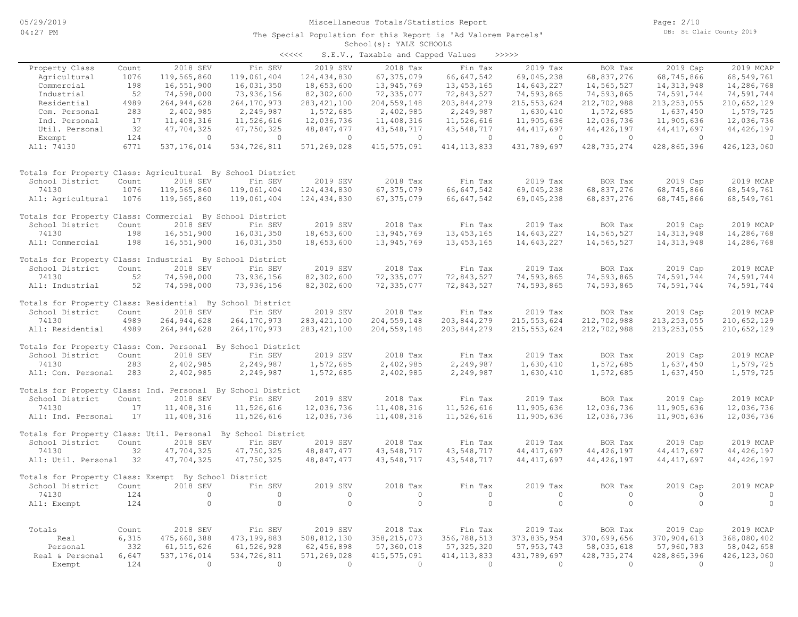#### School(s): YALE SCHOOLS The Special Population for this Report is 'Ad Valorem Parcels'

| くくくくく | S.E.V., Taxable and Capped Values |  |  |  | >>>>> |
|-------|-----------------------------------|--|--|--|-------|
|-------|-----------------------------------|--|--|--|-------|

| Property Class                                               | Count        | 2018 SEV                       | Fin SEV                        | 2019 SEV                       | 2018 Tax                     | Fin Tax                       | 2019 Tax                       | BOR Tax                    | 2019 Cap                       | 2019 MCAP                   |
|--------------------------------------------------------------|--------------|--------------------------------|--------------------------------|--------------------------------|------------------------------|-------------------------------|--------------------------------|----------------------------|--------------------------------|-----------------------------|
| Agricultural                                                 | 1076         | 119,565,860                    | 119,061,404                    | 124, 434, 830                  | 67, 375, 079                 | 66, 647, 542                  | 69,045,238                     | 68,837,276                 | 68,745,866                     | 68,549,761                  |
| Commercial                                                   | 198          | 16,551,900                     | 16,031,350                     | 18,653,600                     | 13,945,769                   | 13, 453, 165                  | 14,643,227                     | 14,565,527                 | 14, 313, 948                   | 14,286,768                  |
| Industrial                                                   | 52           | 74,598,000                     | 73,936,156                     | 82,302,600                     | 72,335,077                   | 72,843,527                    | 74,593,865                     | 74,593,865                 | 74,591,744                     | 74,591,744                  |
| Residential                                                  | 4989         | 264, 944, 628                  | 264, 170, 973                  | 283, 421, 100                  | 204, 559, 148                | 203,844,279                   | 215, 553, 624                  | 212,702,988                | 213, 253, 055                  | 210,652,129                 |
| Com. Personal                                                | 283          | 2,402,985                      | 2,249,987                      | 1,572,685                      | 2,402,985                    | 2,249,987                     | 1,630,410                      | 1,572,685                  | 1,637,450                      | 1,579,725                   |
| Ind. Personal                                                | 17           | 11,408,316                     | 11,526,616                     | 12,036,736                     | 11,408,316                   | 11,526,616                    | 11,905,636                     | 12,036,736                 | 11,905,636                     | 12,036,736                  |
| Util. Personal                                               | 32           | 47,704,325                     | 47,750,325                     | 48,847,477                     | 43,548,717                   | 43,548,717                    | 44, 417, 697                   | 44, 426, 197               | 44, 417, 697                   | 44, 426, 197                |
| Exempt                                                       | 124          | $\circ$                        | $\circ$                        | $\circ$                        | $\circ$                      | $\circ$                       | $\circ$                        | $\circ$                    | $\circ$                        | $\overline{0}$              |
| All: 74130                                                   | 6771         | 537, 176, 014                  | 534,726,811                    | 571,269,028                    | 415, 575, 091                | 414, 113, 833                 | 431,789,697                    | 428, 735, 274              | 428,865,396                    | 426, 123, 060               |
| Totals for Property Class: Agricultural By School District   |              |                                |                                |                                |                              |                               |                                |                            |                                |                             |
| School District                                              | Count        | 2018 SEV                       | Fin SEV                        | 2019 SEV                       | 2018 Tax                     | Fin Tax                       | 2019 Tax                       | BOR Tax                    | 2019 Cap                       | 2019 MCAP                   |
| 74130                                                        | 1076         | 119,565,860                    | 119,061,404                    | 124, 434, 830                  | 67, 375, 079                 | 66,647,542                    | 69,045,238                     | 68,837,276                 | 68,745,866                     | 68,549,761                  |
| All: Agricultural                                            | 1076         | 119,565,860                    | 119,061,404                    | 124,434,830                    | 67, 375, 079                 | 66, 647, 542                  | 69,045,238                     | 68,837,276                 | 68,745,866                     | 68,549,761                  |
| Totals for Property Class: Commercial By School District     |              |                                |                                |                                |                              |                               |                                |                            |                                |                             |
| School District                                              | Count        | 2018 SEV                       | Fin SEV                        | 2019 SEV                       | 2018 Tax                     | Fin Tax                       | 2019 Tax                       | BOR Tax                    | 2019 Cap                       | 2019 MCAP                   |
| 74130                                                        | 198          | 16,551,900                     | 16,031,350                     | 18,653,600                     | 13,945,769                   | 13, 453, 165                  | 14,643,227                     | 14,565,527                 | 14, 313, 948                   | 14,286,768                  |
| All: Commercial                                              | 198          | 16,551,900                     | 16,031,350                     | 18,653,600                     | 13,945,769                   | 13, 453, 165                  | 14,643,227                     | 14,565,527                 | 14, 313, 948                   | 14,286,768                  |
| Totals for Property Class: Industrial By School District     |              |                                |                                |                                |                              |                               |                                |                            |                                |                             |
| School District                                              | Count        | 2018 SEV                       | Fin SEV                        | 2019 SEV                       | 2018 Tax                     | Fin Tax                       | 2019 Tax                       | BOR Tax                    | 2019 Cap                       | 2019 MCAP                   |
| 74130                                                        | 52           | 74,598,000                     | 73,936,156                     | 82,302,600                     | 72,335,077                   | 72,843,527                    | 74,593,865                     | 74,593,865                 | 74,591,744                     | 74,591,744                  |
| All: Industrial                                              | 52           | 74,598,000                     | 73,936,156                     | 82,302,600                     | 72,335,077                   | 72,843,527                    | 74,593,865                     | 74,593,865                 | 74,591,744                     | 74,591,744                  |
| Totals for Property Class: Residential By School District    |              |                                |                                |                                |                              |                               |                                |                            |                                |                             |
| School District                                              | Count        | 2018 SEV                       | Fin SEV                        | 2019 SEV                       | 2018 Tax                     | Fin Tax                       | 2019 Tax                       | BOR Tax                    | 2019 Cap                       | 2019 MCAP                   |
| 74130<br>All: Residential                                    | 4989<br>4989 | 264, 944, 628<br>264, 944, 628 | 264, 170, 973<br>264, 170, 973 | 283, 421, 100<br>283, 421, 100 | 204, 559, 148<br>204,559,148 | 203,844,279<br>203,844,279    | 215, 553, 624<br>215, 553, 624 | 212,702,988<br>212,702,988 | 213, 253, 055<br>213, 253, 055 | 210,652,129<br>210,652,129  |
|                                                              |              |                                |                                |                                |                              |                               |                                |                            |                                |                             |
| Totals for Property Class: Com. Personal By School District  |              |                                |                                |                                |                              |                               |                                |                            |                                |                             |
| School District                                              | Count        | 2018 SEV                       | Fin SEV                        | 2019 SEV                       | 2018 Tax                     | Fin Tax                       | 2019 Tax                       | BOR Tax                    | 2019 Cap                       | 2019 MCAP                   |
| 74130                                                        | 283          | 2,402,985                      | 2,249,987                      | 1,572,685                      | 2,402,985                    | 2,249,987                     | 1,630,410                      | 1,572,685                  | 1,637,450                      | 1,579,725                   |
| All: Com. Personal                                           | 283          | 2,402,985                      | 2,249,987                      | 1,572,685                      | 2,402,985                    | 2,249,987                     | 1,630,410                      | 1,572,685                  | 1,637,450                      | 1,579,725                   |
| Totals for Property Class: Ind. Personal By School District  |              |                                |                                |                                |                              |                               |                                |                            |                                |                             |
| School District                                              | Count        | 2018 SEV                       | Fin SEV                        | 2019 SEV                       | 2018 Tax                     | Fin Tax                       | 2019 Tax                       | BOR Tax                    | 2019 Cap                       | 2019 MCAP                   |
| 74130                                                        | 17           | 11,408,316                     | 11,526,616                     | 12,036,736                     | 11,408,316                   | 11,526,616                    | 11,905,636                     | 12,036,736                 | 11,905,636                     | 12,036,736                  |
| All: Ind. Personal                                           | 17           | 11,408,316                     | 11,526,616                     | 12,036,736                     | 11,408,316                   | 11,526,616                    | 11,905,636                     | 12,036,736                 | 11,905,636                     | 12,036,736                  |
| Totals for Property Class: Util. Personal By School District |              |                                |                                |                                |                              |                               |                                |                            |                                |                             |
| School District                                              | Count        | 2018 SEV                       | Fin SEV                        | 2019 SEV                       | 2018 Tax                     | Fin Tax                       | 2019 Tax                       | BOR Tax                    | 2019 Cap                       | 2019 MCAP                   |
| 74130                                                        | 32           | 47,704,325                     | 47,750,325                     | 48,847,477                     | 43,548,717                   | 43,548,717                    | 44, 417, 697                   | 44, 426, 197               | 44, 417, 697                   | 44, 426, 197                |
| All: Util. Personal                                          | 32           | 47,704,325                     | 47,750,325                     | 48,847,477                     | 43,548,717                   | 43,548,717                    | 44, 417, 697                   | 44, 426, 197               | 44, 417, 697                   | 44, 426, 197                |
| Totals for Property Class: Exempt By School District         |              |                                |                                |                                |                              |                               |                                |                            |                                |                             |
| School District                                              | Count        | 2018 SEV                       | Fin SEV                        | 2019 SEV                       | 2018 Tax                     | Fin Tax                       | 2019 Tax                       | BOR Tax                    | 2019 Cap                       | 2019 MCAP                   |
| 74130                                                        | 124          | $\circ$                        | $\circ$                        | $\circ$                        | $\circ$                      | $\circ$                       | $\circ$                        | $\circ$                    | $\circ$                        | $\overline{0}$              |
| All: Exempt                                                  | 124          | $\circ$                        | $\circ$                        | $\circ$                        | $\circ$                      | $\circ$                       | $\circ$                        | $\circ$                    | $\circ$                        | $\overline{0}$              |
|                                                              |              | 2018 SEV                       |                                | 2019 SEV                       |                              |                               |                                |                            |                                |                             |
| Totals                                                       | Count        |                                | Fin SEV                        |                                | 2018 Tax                     | Fin Tax                       | 2019 Tax                       | BOR Tax                    | 2019 Cap                       | 2019 MCAP                   |
| Real<br>Personal                                             | 6,315<br>332 | 475,660,388                    | 473, 199, 883<br>61,526,928    | 508,812,130                    | 358, 215, 073                | 356,788,513                   | 373,835,954                    | 370,699,656                | 370,904,613                    | 368,080,402                 |
| Real & Personal                                              | 6,647        | 61, 515, 626<br>537, 176, 014  | 534,726,811                    | 62,456,898<br>571,269,028      | 57,360,018<br>415, 575, 091  | 57, 325, 320<br>414, 113, 833 | 57, 953, 743<br>431,789,697    | 58,035,618<br>428,735,274  | 57,960,783<br>428,865,396      | 58,042,658<br>426, 123, 060 |
| Exempt                                                       | 124          | $\Omega$                       | $\overline{0}$                 | $\Omega$                       | $\overline{0}$               | $\Omega$                      | $\Omega$                       | $\overline{0}$             | $\Omega$                       | $\bigcirc$                  |
|                                                              |              |                                |                                |                                |                              |                               |                                |                            |                                |                             |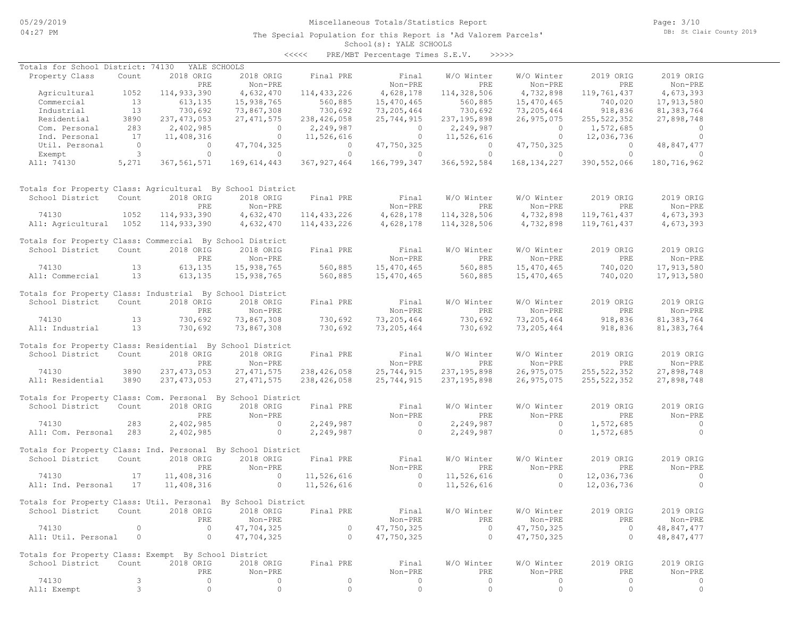# Miscellaneous Totals/Statistics Report

The Special Population for this Report is 'Ad Valorem Parcels'

Page: 3/10 DB: St Clair County 2019

#### School(s): YALE SCHOOLS <<<<< PRE/MBT Percentage Times S.E.V. >>>>>

| Totals for School District: 74130                            |                |               | YALE SCHOOLS             |               |                |               |                     |               |                |  |
|--------------------------------------------------------------|----------------|---------------|--------------------------|---------------|----------------|---------------|---------------------|---------------|----------------|--|
| Property Class                                               | Count          | 2018 ORIG     | 2018 ORIG                | Final PRE     | Final          | W/O Winter    | W/O Winter          | 2019 ORIG     | 2019 ORIG      |  |
|                                                              |                | PRE           | $Non-PRE$                |               | Non-PRE        | PRE           | Non-PRE             | PRE           | Non-PRE        |  |
| Agricultural                                                 | 1052           | 114,933,390   | 4,632,470                | 114, 433, 226 | 4,628,178      | 114,328,506   | 4,732,898           | 119,761,437   | 4,673,393      |  |
| Commercial                                                   | 13             | 613,135       | 15,938,765               | 560,885       | 15,470,465     | 560,885       | 15,470,465          | 740,020       | 17,913,580     |  |
| Industrial                                                   | 13             | 730,692       | 73,867,308               | 730,692       | 73,205,464     | 730,692       | 73,205,464          | 918,836       | 81, 383, 764   |  |
| Residential                                                  | 3890           | 237, 473, 053 | 27, 471, 575             | 238, 426, 058 | 25,744,915     | 237, 195, 898 | 26,975,075          | 255, 522, 352 | 27,898,748     |  |
| Com. Personal                                                | 283            | 2,402,985     | $\overline{0}$           | 2,249,987     | $\overline{0}$ | 2,249,987     | $\overline{0}$      | 1,572,685     | $\overline{0}$ |  |
| Ind. Personal                                                | 17             | 11,408,316    | $\overline{0}$           | 11,526,616    | $\overline{0}$ | 11,526,616    | $\overline{0}$      | 12,036,736    | $\overline{0}$ |  |
| Util. Personal                                               | $\overline{0}$ | $\circ$       | 47,704,325               | $\circ$       | 47,750,325     | $\circ$       | 47,750,325          | $\Omega$      | 48,847,477     |  |
| Exempt                                                       | $\mathbf{3}$   | $\circ$       | $\circ$                  | $\circ$       | $\circ$        | $\circ$       | $\circ$             | $\Omega$      | $\Omega$       |  |
| All: 74130                                                   | 5,271          | 367, 561, 571 | 169,614,443              | 367, 927, 464 | 166,799,347    | 366, 592, 584 | 168, 134, 227       | 390, 552, 066 | 180,716,962    |  |
| Totals for Property Class: Agricultural By School District   |                |               |                          |               |                |               |                     |               |                |  |
| School District                                              | Count          | 2018 ORIG     | 2018 ORIG                | Final PRE     | Final          | W/O Winter    | W/O Winter          | 2019 ORIG     | 2019 ORIG      |  |
|                                                              |                | PRE           | Non-PRE                  |               | Non-PRE        | PRE           | Non-PRE             | PRE           | Non-PRE        |  |
| 74130                                                        | 1052           | 114,933,390   | 4,632,470                | 114,433,226   | 4,628,178      | 114,328,506   | 4,732,898           | 119,761,437   | 4,673,393      |  |
| All: Agricultural 1052                                       |                | 114,933,390   | 4,632,470                | 114, 433, 226 | 4,628,178      | 114,328,506   | 4,732,898           | 119,761,437   | 4,673,393      |  |
| Totals for Property Class: Commercial By School District     |                |               |                          |               |                |               |                     |               |                |  |
| School District                                              | Count          | 2018 ORIG     | 2018 ORIG                | Final PRE     | Final          | W/O Winter    | W/O Winter          | 2019 ORIG     | 2019 ORIG      |  |
|                                                              |                | PRE           | Non-PRE                  |               | Non-PRE        | PRE           | Non-PRE             | PRE           | Non-PRE        |  |
| 74130                                                        | 13             | 613,135       | 15,938,765               | 560,885       | 15,470,465     | 560,885       | 15,470,465          | 740,020       | 17,913,580     |  |
| All: Commercial                                              | 13             | 613,135       | 15,938,765               | 560,885       | 15,470,465     | 560,885       | 15,470,465          | 740,020       | 17,913,580     |  |
|                                                              |                |               |                          |               |                |               |                     |               |                |  |
| Totals for Property Class: Industrial By School District     |                |               |                          |               |                |               |                     |               |                |  |
| School District                                              | Count          | 2018 ORIG     | 2018 ORIG                | Final PRE     | Final          | W/O Winter    | W/O Winter          | 2019 ORIG     | 2019 ORIG      |  |
|                                                              |                | PRE           | Non-PRE                  |               | Non-PRE        | <b>PRE</b>    | Non-PRE             | PRE           | Non-PRE        |  |
| 74130                                                        | 13             | 730,692       | 73,867,308               | 730,692       | 73,205,464     | 730,692       | 73,205,464          | 918,836       | 81, 383, 764   |  |
| All: Industrial                                              | 13             | 730,692       | 73,867,308               | 730,692       | 73,205,464     | 730,692       | 73,205,464          | 918,836       | 81,383,764     |  |
| Totals for Property Class: Residential By School District    |                |               |                          |               |                |               |                     |               |                |  |
| School District                                              | Count          | 2018 ORIG     | 2018 ORIG                | Final PRE     | Final          | W/O Winter    | W/O Winter          | 2019 ORIG     | 2019 ORIG      |  |
|                                                              |                | PRE           | Non-PRE                  |               | Non-PRE        | PRE           | Non-PRE             | PRE           | Non-PRE        |  |
| 74130                                                        | 3890           | 237, 473, 053 | 27, 471, 575             | 238,426,058   | 25,744,915     | 237, 195, 898 | 26,975,075          | 255, 522, 352 | 27,898,748     |  |
| All: Residential                                             | 3890           | 237, 473, 053 | 27, 471, 575             | 238,426,058   | 25,744,915     | 237, 195, 898 | 26,975,075          | 255, 522, 352 | 27,898,748     |  |
|                                                              |                |               |                          |               |                |               |                     |               |                |  |
| Totals for Property Class: Com. Personal By School District  |                |               |                          |               |                |               |                     |               |                |  |
| School District                                              | Count          | 2018 ORIG     | 2018 ORIG                | Final PRE     | Final          | W/O Winter    | W/O Winter          | 2019 ORIG     | 2019 ORIG      |  |
|                                                              |                | PRE           | Non-PRE                  |               | Non-PRE        | PRE           | Non-PRE             | PRE           | Non-PRE        |  |
| 74130                                                        | 283            | 2,402,985     | $\sim$ 0                 | 2,249,987     | $\circ$        | 2,249,987     | $\circ$             | 1,572,685     | $\sim$ 0       |  |
| All: Com. Personal 283                                       |                | 2,402,985     | $\circ$                  | 2,249,987     | $\circ$        | 2,249,987     | $\circ$             | 1,572,685     | $\overline{0}$ |  |
| Totals for Property Class: Ind. Personal By School District  |                |               |                          |               |                |               |                     |               |                |  |
| School District                                              | Count          | 2018 ORIG     | 2018 ORIG                | Final PRE     | Final          | W/O Winter    | W/O Winter          | 2019 ORIG     | 2019 ORIG      |  |
|                                                              |                | PRE           | Non-PRE                  |               | Non-PRE        | PRE           | Non-PRE             | PRE           | Non-PRE        |  |
| 74130                                                        | 17             | 11,408,316    | $\overline{\phantom{0}}$ | 11,526,616    | $\sim$ 0       | 11,526,616    | $\circ$             | 12,036,736    | $\overline{0}$ |  |
| All: Ind. Personal                                           | 17             | 11,408,316    | $\circ$                  | 11,526,616    | $\overline{0}$ | 11,526,616    | $\overline{0}$      | 12,036,736    | $\Omega$       |  |
|                                                              |                |               |                          |               |                |               |                     |               |                |  |
| Totals for Property Class: Util. Personal By School District |                |               |                          |               |                |               |                     |               |                |  |
| School District                                              | Count          | 2018 ORIG     | 2018 ORIG                | Final PRE     | Final          | W/O Winter    | W/O Winter          | 2019 ORIG     | 2019 ORIG      |  |
|                                                              |                | PRE           | Non-PRE                  |               | Non-PRE        | PRE           | Non-PRE             | PRE           | Non-PRE        |  |
| 74130                                                        | $\circ$        | $\circ$       | 47,704,325               | $\circ$       | 47,750,325     | $\circ$       | 47,750,325          | $\circ$       | 48,847,477     |  |
| All: Util. Personal                                          | $\circ$        | $\circ$       | 47,704,325               | $\circ$       | 47,750,325     | $\circ$       | 47,750,325          | $\circ$       | 48,847,477     |  |
|                                                              |                |               |                          |               |                |               |                     |               |                |  |
| Totals for Property Class: Exempt By School District         |                |               |                          |               |                |               |                     |               |                |  |
| School District                                              | Count          | 2018 ORIG     | 2018 ORIG                | Final PRE     | Final          | W/O Winter    | W/O Winter          | 2019 ORIG     | 2019 ORIG      |  |
|                                                              |                | PRE           | Non-PRE                  |               | Non-PRE        | PRE           | Non-PRE             | PRE           | Non-PRE        |  |
| 74130                                                        | 3              | 0             | 0                        | 0             | 0              | 0             | 0                   | 0             | 0              |  |
| All: Exempt                                                  | 3              | $\circ$       | $\circ$                  | $\circ$       | 0              | $\circ$       | $\mathsf{O}\xspace$ | $\circ$       | $\circ$        |  |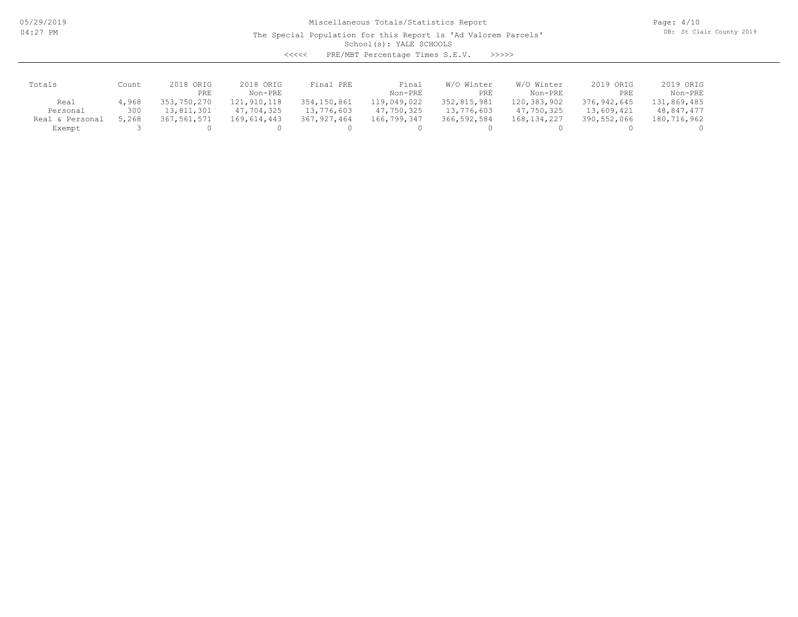The Special Population for this Report is 'Ad Valorem Parcels'

Page: 4/10 DB: St Clair County 2019

School(s): YALE SCHOOLS

<<<<< PRE/MBT Percentage Times S.E.V. >>>>>

| Totals          | Count | 2018 ORIG<br>PRE | 2018 ORIG<br>Non-PRE | Final PRE     | Final<br>Non-PRE | W/O Winter<br>PRE | W/O Winter<br>Non-PRE | 2019 ORIG<br>PRE | 2019 ORIG<br>Non-PRE |
|-----------------|-------|------------------|----------------------|---------------|------------------|-------------------|-----------------------|------------------|----------------------|
| Real            | 4,968 | 353,750,270      | 121,910,118          | 354, 150, 861 | 119,049,022      | 352,815,981       | 120,383,902           | 376,942,645      | 131,869,485          |
| Personal        | 300   | 13,811,301       | 47,704,325           | 13,776,603    | 47,750,325       | 13,776,603        | 47,750,325            | 13,609,421       | 48,847,477           |
| Real & Personal | 5,268 | 367,561,571      | 169,614,443          | 367, 927, 464 | 166,799,347      | 366,592,584       | 168, 134, 227         | 390,552,066      | 180,716,962          |
| Exempt          |       |                  |                      |               |                  |                   |                       |                  |                      |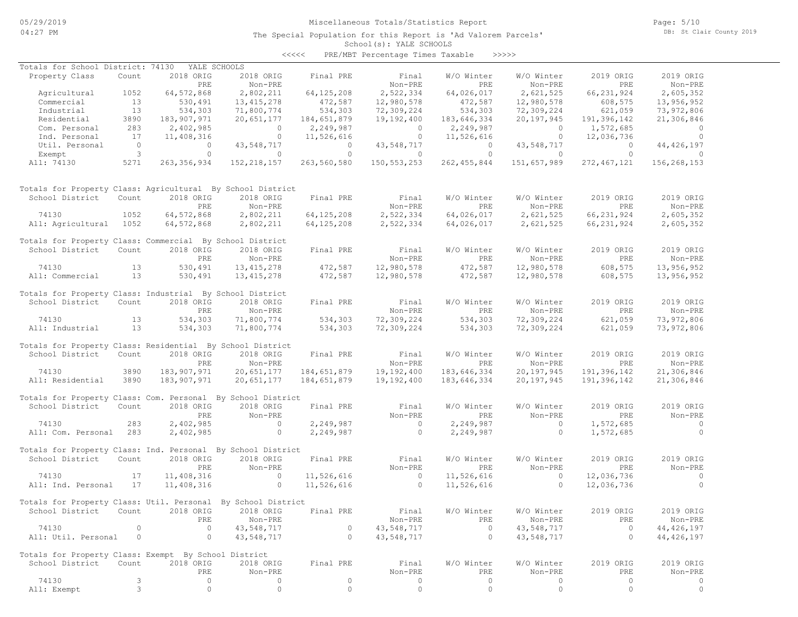# Miscellaneous Totals/Statistics Report

The Special Population for this Report is 'Ad Valorem Parcels'

Page: 5/10 DB: St Clair County 2019

School(s): YALE SCHOOLS <<<<< PRE/MBT Percentage Times Taxable >>>>>

| Totals for School District: 74130                            |                |                    | YALE SCHOOLS   |                |                |                    |                    |                |                |
|--------------------------------------------------------------|----------------|--------------------|----------------|----------------|----------------|--------------------|--------------------|----------------|----------------|
| Property Class                                               | Count          | 2018 ORIG          | 2018 ORIG      | Final PRE      | Final          | W/O Winter         | W/O Winter         | 2019 ORIG      | 2019 ORIG      |
|                                                              |                | PRE                | Non-PRE        |                | Non-PRE        | PRE                | Non-PRE            | PRE            | Non-PRE        |
| Agricultural                                                 | 1052           | 64, 572, 868       | 2,802,211      | 64, 125, 208   | 2,522,334      | 64,026,017         | 2,621,525          | 66, 231, 924   | 2,605,352      |
| Commercial                                                   | 13             | 530,491            | 13, 415, 278   | 472,587        | 12,980,578     | 472,587            | 12,980,578         | 608,575        | 13,956,952     |
| Industrial                                                   | 13             | 534,303            | 71,800,774     | 534,303        | 72,309,224     | 534,303            | 72,309,224         | 621,059        | 73,972,806     |
| Residential                                                  | 3890           | 183,907,971        | 20,651,177     | 184,651,879    | 19,192,400     | 183,646,334        | 20,197,945         | 191,396,142    | 21,306,846     |
| Com. Personal                                                | 283            | 2,402,985          | $\sim$ 0       | 2,249,987      | $\overline{0}$ | 2,249,987          | $\overline{0}$     | 1,572,685      | $\overline{0}$ |
| Ind. Personal                                                | 17             | 11,408,316         | $\overline{0}$ | 11,526,616     | $\overline{0}$ | 11,526,616         | $\circ$            | 12,036,736     | $\overline{0}$ |
| Util. Personal                                               | $\overline{0}$ | $\circ$            | 43,548,717     | $\overline{0}$ | 43,548,717     | $\overline{0}$     | 43,548,717         | $\overline{0}$ | 44, 426, 197   |
| Exempt                                                       | 3              | $\circ$            | $\circ$        | $\circ$        | $\circ$        | $\circ$            | $\circ$            | $\circ$        | $\circ$        |
| All: 74130                                                   | 5271           | 263, 356, 934      | 152, 218, 157  | 263,560,580    | 150, 553, 253  | 262, 455, 844      | 151,657,989        | 272, 467, 121  | 156,268,153    |
| Totals for Property Class: Agricultural By School District   |                |                    |                |                |                |                    |                    |                |                |
| School District                                              | Count          | 2018 ORIG          | 2018 ORIG      | Final PRE      | Final          | W/O Winter         | W/O Winter         | 2019 ORIG      | 2019 ORIG      |
|                                                              |                | PRE                | Non-PRE        |                | Non-PRE        | PRE                | Non-PRE            | PRE            | Non-PRE        |
| 74130                                                        | 1052           | 64, 572, 868       | 2,802,211      | 64, 125, 208   | 2,522,334      | 64,026,017         | 2,621,525          | 66, 231, 924   | 2,605,352      |
| All: Agricultural 1052                                       |                | 64, 572, 868       | 2,802,211      | 64, 125, 208   | 2,522,334      | 64,026,017         | 2,621,525          | 66, 231, 924   | 2,605,352      |
| Totals for Property Class: Commercial By School District     |                |                    |                |                |                |                    |                    |                |                |
| School District                                              | Count          | 2018 ORIG          | 2018 ORIG      | Final PRE      | Final          | W/O Winter         | W/O Winter         | 2019 ORIG      | 2019 ORIG      |
|                                                              |                | PRE                | Non-PRE        |                | Non-PRE        | PRE                | Non-PRE            | PRE            | Non-PRE        |
| 74130                                                        | 13             | 530,491            | 13, 415, 278   | 472,587        | 12,980,578     | 472,587            | 12,980,578         | 608,575        | 13,956,952     |
| All: Commercial                                              | 13             | 530,491            | 13, 415, 278   | 472,587        | 12,980,578     | 472,587            | 12,980,578         | 608,575        | 13,956,952     |
| Totals for Property Class: Industrial By School District     |                |                    |                |                |                |                    |                    |                |                |
| School District                                              | Count          | 2018 ORIG          | 2018 ORIG      | Final PRE      | Final          | W/O Winter         | W/O Winter         | 2019 ORIG      | 2019 ORIG      |
|                                                              |                | PRE                | Non-PRE        |                | Non-PRE        | PRE                | Non-PRE            | PRE            | Non-PRE        |
| 74130                                                        | 13             | 534,303            | 71,800,774     | 534,303        | 72,309,224     | 534,303            | 72,309,224         | 621,059        | 73,972,806     |
| All: Industrial                                              | 13             | 534,303            | 71,800,774     | 534,303        | 72,309,224     | 534,303            | 72,309,224         | 621,059        | 73,972,806     |
| Totals for Property Class: Residential By School District    |                |                    |                |                |                |                    |                    |                |                |
| School District                                              | Count          | 2018 ORIG          | 2018 ORIG      | Final PRE      | Final          | W/O Winter         | W/O Winter         | 2019 ORIG      | 2019 ORIG      |
|                                                              |                | PRE                | Non-PRE        |                | Non-PRE        | PRE                | Non-PRE            | <b>PRE</b>     | Non-PRE        |
| 74130                                                        | 3890           | 183,907,971        | 20,651,177     | 184,651,879    | 19,192,400     | 183,646,334        | 20,197,945         | 191,396,142    | 21,306,846     |
| All: Residential                                             | 3890           | 183,907,971        | 20,651,177     | 184,651,879    | 19,192,400     | 183,646,334        | 20,197,945         | 191,396,142    | 21,306,846     |
|                                                              |                |                    |                |                |                |                    |                    |                |                |
| Totals for Property Class: Com. Personal By School District  |                |                    |                |                |                |                    |                    |                |                |
| School District                                              | Count          | 2018 ORIG          | 2018 ORIG      | Final PRE      | Final          | W/O Winter         | W/O Winter         | 2019 ORIG      | 2019 ORIG      |
|                                                              |                | PRE                | Non-PRE        |                | Non-PRE        | PRE                | Non-PRE            | PRE            | Non-PRE        |
| 74130                                                        | 283            | 2,402,985          | $\sim$ 0       | 2,249,987      | $\sim$ 0       | 2,249,987          | $\circ$            | 1,572,685      | $\overline{0}$ |
| All: Com. Personal                                           | 283            | 2,402,985          | $\circ$        | 2,249,987      | $\overline{0}$ | 2,249,987          | $\circ$            | 1,572,685      | $\circ$        |
| Totals for Property Class: Ind. Personal By School District  |                |                    |                |                |                |                    |                    |                |                |
| School District                                              | Count          | 2018 ORIG          | 2018 ORIG      | Final PRE      | Final          | W/O Winter         | W/O Winter         | 2019 ORIG      | 2019 ORIG      |
|                                                              |                | PRE                | Non-PRE        |                | Non-PRE        | PRE                | Non-PRE            | PRE            | Non-PRE        |
| 74130                                                        | 17             | 11,408,316         | $\overline{0}$ | 11,526,616     | $\overline{0}$ | 11,526,616         | $\circ$            | 12,036,736     | $\overline{0}$ |
| All: Ind. Personal                                           | 17             | 11,408,316         | $\circ$        | 11,526,616     | $\bigcirc$     | 11,526,616         | $\Omega$           | 12,036,736     | $\Omega$       |
|                                                              |                |                    |                |                |                |                    |                    |                |                |
| Totals for Property Class: Util. Personal By School District |                |                    |                |                |                |                    |                    |                |                |
| School District                                              | Count          | 2018 ORIG          | 2018 ORIG      | Final PRE      | Final          | W/O Winter         | W/O Winter         | 2019 ORIG      | 2019 ORIG      |
|                                                              |                | PRE                | Non-PRE        |                | Non-PRE        | PRE                | Non-PRE            | PRE            | Non-PRE        |
| 74130                                                        | $\circ$        | $\circ$            | 43,548,717     | $\circ$        | 43,548,717     | $\circ$            | 43,548,717         | $\circ$        | 44, 426, 197   |
| All: Util. Personal                                          | $\circ$        | $\circ$            | 43,548,717     | $\circ$        | 43,548,717     | $\circ$            | 43,548,717         | $\circ$        | 44, 426, 197   |
|                                                              |                |                    |                |                |                |                    |                    |                |                |
| Totals for Property Class: Exempt By School District         |                |                    |                |                |                |                    |                    |                |                |
| School District                                              | Count          | 2018 ORIG          | 2018 ORIG      | Final PRE      | Final          | W/O Winter         | W/O Winter         | 2019 ORIG      | 2019 ORIG      |
|                                                              |                | PRE                | Non-PRE        |                | Non-PRE        | PRE                | Non-PRE            | PRE            | Non-PRE        |
| 74130                                                        | 3<br>3         | $\circ$<br>$\circ$ | 0<br>0         | 0<br>$\circ$   | 0<br>$\circ$   | $\circ$<br>$\circ$ | $\circ$<br>$\circ$ | 0              | 0<br>$\circ$   |
| All: Exempt                                                  |                |                    |                |                |                |                    |                    | $\circ$        |                |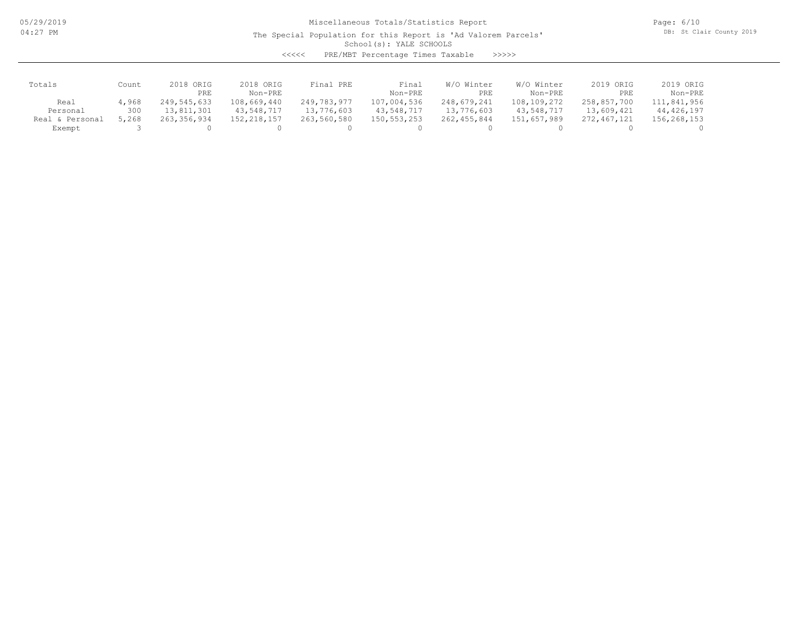05/29/2019 04:27 PM

# Miscellaneous Totals/Statistics Report

The Special Population for this Report is 'Ad Valorem Parcels'

Page: 6/10 DB: St Clair County 2019

School(s): YALE SCHOOLS

<<<<< PRE/MBT Percentage Times Taxable >>>>>

| Totals             | Count | 2018 ORIG   | 2018 ORIG     | Final PRE   | Final       | W/O Winter  | W/O Winter  | 2019 ORIG   | 2019 ORIG   |
|--------------------|-------|-------------|---------------|-------------|-------------|-------------|-------------|-------------|-------------|
|                    |       | PRE         | Non-PRE       |             | Non-PRE     | PRE         | Non-PRE     | PRE         | Non-PRE     |
| Real               | 4,968 | 249,545,633 | 108,669,440   | 249,783,977 | 107,004,536 | 248,679,241 | 108,109,272 | 258,857,700 | 111,841,956 |
| Personal           | 300   | 13,811,301  | 43,548,717    | 13,776,603  | 43,548,717  | 13,776,603  | 43,548,717  | 13,609,421  | 44,426,197  |
| Personal<br>Real & | 5,268 | 263,356,934 | 152, 218, 157 | 263,560,580 | 150,553,253 | 262,455,844 | 151,657,989 | 272,467,121 | 156,268,153 |
| Exempt             |       |             |               |             |             |             |             |             |             |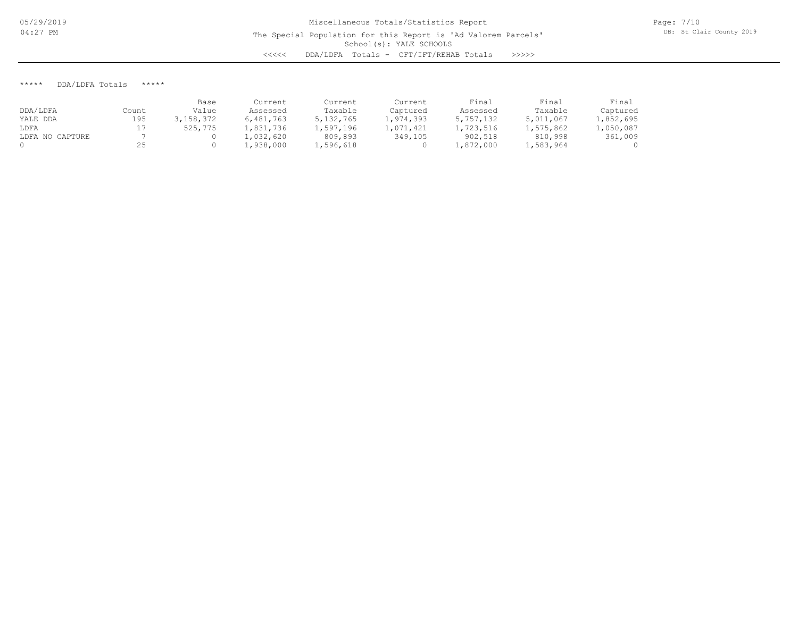Page: 7/10 DB: St Clair County 2019

#### \*\*\*\*\* DDA/LDFA Totals \*\*\*\*\*

|                 |       | Base      | Current   | Current     | Current   | Final     | Final     | Final     |
|-----------------|-------|-----------|-----------|-------------|-----------|-----------|-----------|-----------|
| DDA/LDFA        | Count | Value     | Assessed  | Taxable     | Captured  | Assessed  | Taxable   | Captured  |
| YALE DDA        | 195   | 3,158,372 | 6,481,763 | 5, 132, 765 | 1,974,393 | 5,757,132 | 5,011,067 | 1,852,695 |
| LDFA            |       | 525,775   | 1,831,736 | 1,597,196   | 1,071,421 | 1,723,516 | 1,575,862 | 1,050,087 |
| LDFA NO CAPTURE |       |           | 1,032,620 | 809,893     | 349,105   | 902,518   | 810,998   | 361,009   |
|                 |       |           | l,938,000 | 1,596,618   |           | L,872,000 | 1,583,964 |           |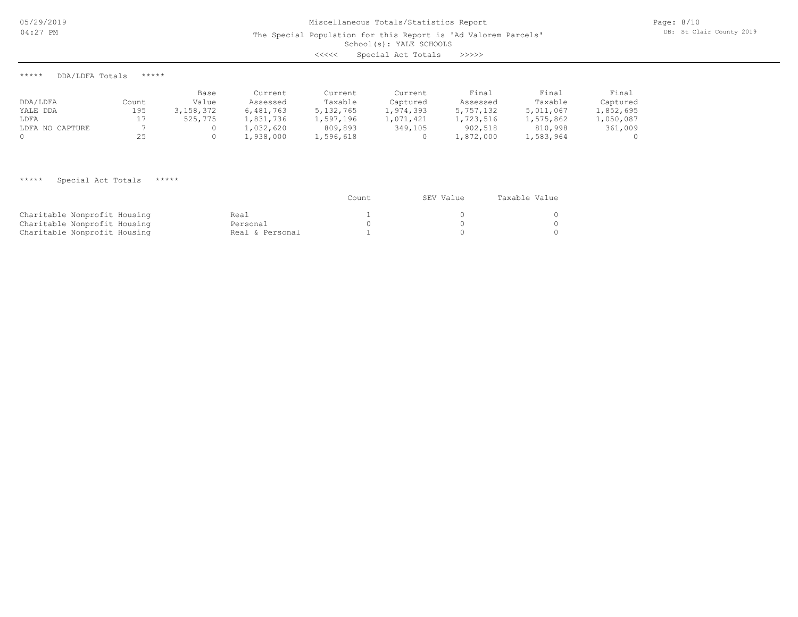School(s): YALE SCHOOLS

<<<<< Special Act Totals >>>>>

\*\*\*\*\* DDA/LDFA Totals \*\*\*\*\*

|                 |       | Base      | Current   | Current     | Current   | Final     | Final     | Final     |
|-----------------|-------|-----------|-----------|-------------|-----------|-----------|-----------|-----------|
| DDA/LDFA        | Count | Value     | Assessed  | Taxable     | Captured  | Assessed  | Taxable   | Captured  |
| YALE DDA        | 195   | 3,158,372 | 6,481,763 | 5, 132, 765 | 1,974,393 | 5,757,132 | 5,011,067 | 1,852,695 |
| LDFA            |       | 525,775   | 1,831,736 | 1,597,196   | 1,071,421 | 1,723,516 | 1,575,862 | 1,050,087 |
| LDFA NO CAPTURE |       |           | 1,032,620 | 809,893     | 349,105   | 902,518   | 810,998   | 361,009   |
|                 | 25    |           | L,938,000 | 1,596,618   |           | 1,872,000 | 1,583,964 |           |

## \*\*\*\*\* Special Act Totals \*\*\*\*\*

|                              |                 | Count | SEV Value | Taxable Value |
|------------------------------|-----------------|-------|-----------|---------------|
| Charitable Nonprofit Housing | Real            |       |           |               |
| Charitable Nonprofit Housing | Personal        |       |           |               |
| Charitable Nonprofit Housing | Real & Personal |       |           |               |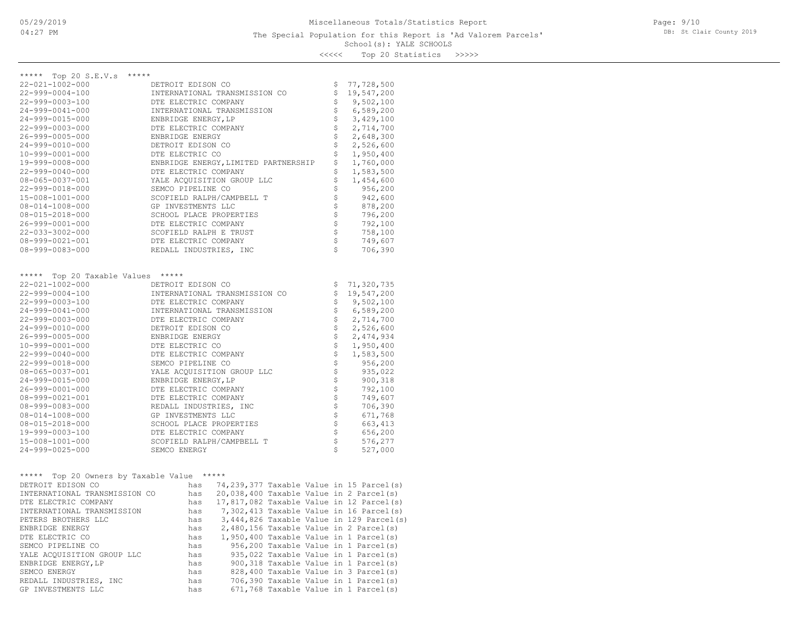### School(s): YALE SCHOOLS The Special Population for this Report is 'Ad Valorem Parcels'

Page: 9/10 DB: St Clair County 2019

<<<<< Top 20 Statistics >>>>>

| ***** Top 20 S.E.V.s *****<br>22-021-1002-000 | DETROIT EDISON CO                                                                                                                                                                   |                                |                          |
|-----------------------------------------------|-------------------------------------------------------------------------------------------------------------------------------------------------------------------------------------|--------------------------------|--------------------------|
| $22 - 999 - 0004 - 100$                       | INTERNATIONAL TRANSMISSION CO                                                                                                                                                       | \$<br>\$                       | 77,728,500<br>19,547,200 |
| 22-999-0003-100                               | DTE ELECTRIC COMPANY                                                                                                                                                                | \$                             | 9,502,100                |
| 24-999-0041-000                               | INTERNATIONAL TRANSMISSION                                                                                                                                                          | $\frac{1}{2}$                  | 6,589,200                |
| 24-999-0015-000                               | ENBRIDGE ENERGY, LP                                                                                                                                                                 | \$                             | 3,429,100                |
| 22-999-0003-000                               | DTE ELECTRIC COMPANY                                                                                                                                                                | \$                             | 2,714,700                |
| 26-999-0005-000                               | ENBRIDGE ENERGY                                                                                                                                                                     | \$                             | 2,648,300                |
| 24-999-0010-000                               | DETROIT EDISON CO                                                                                                                                                                   | \$                             | 2,526,600                |
| $10 - 999 - 0001 - 000$                       | DTE ELECTRIC CO                                                                                                                                                                     | \$                             | 1,950,400                |
| 19-999-0008-000                               | ENBRIDGE ENERGY, LIMITED PARTNERSHIP                                                                                                                                                | $\boldsymbol{\mathsf{S}}$      | 1,760,000                |
| $22 - 999 - 0040 - 000$                       | DTE ELECTRIC COMPANY                                                                                                                                                                | \$                             | 1,583,500                |
| 08-065-0037-001                               | YALE ACQUISITION GROUP LLC                                                                                                                                                          | $\boldsymbol{\mathsf{S}}$      | 1,454,600                |
| 22-999-0018-000                               | SEMCO PIPELINE CO                                                                                                                                                                   | \$                             | 956,200                  |
| 15-008-1001-000                               | SCOFIELD RALPH/CAMPBELL T                                                                                                                                                           | $\boldsymbol{\dot{\varsigma}}$ | 942,600                  |
| $08 - 014 - 1008 - 000$                       | GP INVESTMENTS LLC                                                                                                                                                                  | $\uplus$                       | 878,200                  |
| $08 - 015 - 2018 - 000$                       | SCHOOL PLACE PROPERTIES                                                                                                                                                             | $\dot{\varsigma}$              | 796,200                  |
| 26-999-0001-000                               | DTE ELECTRIC COMPANY                                                                                                                                                                | $\ddot{\varsigma}$             | 792,100                  |
| 22-033-3002-000                               | SCOFIELD RALPH E TRUST                                                                                                                                                              | $\ddot{\varsigma}$             | 758,100                  |
| 08-999-0021-001                               | DTE ELECTRIC COMPANY                                                                                                                                                                | \$                             | 749,607                  |
| 08-999-0083-000                               | REDALL INDUSTRIES, INC                                                                                                                                                              | $\mathsf{S}$                   | 706,390                  |
|                                               |                                                                                                                                                                                     |                                |                          |
|                                               |                                                                                                                                                                                     |                                |                          |
| ***** Top 20 Taxable Values *****             |                                                                                                                                                                                     |                                |                          |
| 22-021-1002-000                               | DETROIT EDISON CO                                                                                                                                                                   |                                | \$71,320,735             |
| 22-999-0004-100                               | INTERNATIONAL TRANSMISSION CO                                                                                                                                                       | \$                             | 19,547,200               |
| 22-999-0003-100                               | DTE ELECTRIC COMPANY                                                                                                                                                                | $\boldsymbol{\mathsf{S}}$      | 9,502,100                |
| 24-999-0041-000                               | INTERNATIONAL TRANSMISSION                                                                                                                                                          | \$                             | 6,589,200                |
| 22-999-0003-000                               | DTE ELECTRIC COMPANY                                                                                                                                                                | $\boldsymbol{\mathsf{S}}$      | 2,714,700                |
| 24-999-0010-000                               | DETROIT EDISON CO                                                                                                                                                                   | $\boldsymbol{\dot{\varsigma}}$ | 2,526,600                |
| 26-999-0005-000                               | ENBRIDGE ENERGY                                                                                                                                                                     | $\boldsymbol{\dot{\varsigma}}$ | 2,474,934                |
| $10 - 999 - 0001 - 000$                       | DTE ELECTRIC CO                                                                                                                                                                     | $\boldsymbol{\dot{\varsigma}}$ | 1,950,400                |
| 22-999-0040-000                               | DTE ELECTRIC COMPANY                                                                                                                                                                | $\boldsymbol{\mathsf{S}}$      | 1,583,500                |
| 22-999-0018-000                               | SEMCO PIPELINE CO                                                                                                                                                                   | $\boldsymbol{\mathsf{S}}$      | 956,200                  |
| 08-065-0037-001                               | YALE ACQUISITION GROUP LLC                                                                                                                                                          | $\ddot{\varsigma}$             | 935,022                  |
| $24 - 999 - 0015 - 000$                       | ENBRIDGE ENERGY, LP                                                                                                                                                                 | $\ddot{\varsigma}$             | 900,318                  |
| 26-999-0001-000                               | DTE ELECTRIC COMPANY                                                                                                                                                                | $\hat{\varsigma}$              | 792,100                  |
| $08 - 999 - 0021 - 001$                       | DTE ELECTRIC COMPANY                                                                                                                                                                | $\hat{\varsigma}$              | 749,607                  |
| $08 - 999 - 0083 - 000$                       | REDALL INDUSTRIES, INC                                                                                                                                                              | $\ddot{\varsigma}$             | 706,390                  |
| $08 - 014 - 1008 - 000$                       | GP INVESTMENTS LLC                                                                                                                                                                  | $\varsigma$                    | 671,768                  |
| 08-015-2018-000                               | SCHOOL PLACE PROPERTIES                                                                                                                                                             | \$                             | 663, 413                 |
| 19-999-0003-100                               | DTE ELECTRIC COMPANY                                                                                                                                                                | $\varsigma$                    | 656,200                  |
| 15-008-1001-000                               | SCOFIELD RALPH/CAMPBELL T                                                                                                                                                           | $\ddot{\varsigma}$             | 576,277                  |
| 24-999-0025-000                               | SEMCO ENERGY                                                                                                                                                                        | Ŝ.                             | 527,000                  |
|                                               |                                                                                                                                                                                     |                                |                          |
| ***** Top 20 Owners by Taxable Value *****    |                                                                                                                                                                                     |                                |                          |
| DETROIT EDISON CO                             | has 74,239,377 Taxable Value in 15 Parcel(s)                                                                                                                                        |                                |                          |
| INTERNATIONAL TRANSMISSION CO                 | has<br>20,038,400 Taxable Value in 2 Parcel(s)                                                                                                                                      |                                |                          |
| DTE ELECTRIC COMPANY                          | has 17,817,082 Taxable Value in 12 Parcel(s)                                                                                                                                        |                                |                          |
| INTERNATIONAL TRANSMISSION                    | has 7,302,413 Taxable Value in 16 Parcel(s)                                                                                                                                         |                                |                          |
| PETERS BROTHERS LLC                           | has<br>3,444,826 Taxable Value in 129 Parcel(s)                                                                                                                                     |                                |                          |
| ENBRIDGE ENERGY                               | has $2,480,156$ Taxable Value in 2 Parcel(s)<br>has $1,950,400$ Taxable Value in 1 Parcel(s)<br>has $956,200$ Taxable Value in 1 Parcel(s)<br>$56,200$ Taxable Value in 1 Parcel(s) |                                |                          |
| DTE ELECTRIC CO                               |                                                                                                                                                                                     |                                |                          |
| SEMCO PIPELINE CO                             |                                                                                                                                                                                     |                                |                          |
| YALE ACQUISITION GROUP LLC                    | has<br>935,022 Taxable Value in 1 Parcel(s)                                                                                                                                         |                                |                          |
| ENBRIDGE ENERGY, LP                           | 900,318 Taxable Value in 1 Parcel(s)<br>has                                                                                                                                         |                                |                          |
| SEMCO ENERGY                                  | 828,400 Taxable Value in 3 Parcel(s)<br>has                                                                                                                                         |                                |                          |
|                                               |                                                                                                                                                                                     |                                |                          |

GP INVESTMENTS LLC has 671,768 Taxable Value in 1 Parcel(s) REDALL INDUSTRIES, INC has 706,390 Taxable Value in 1 Parcel(s)